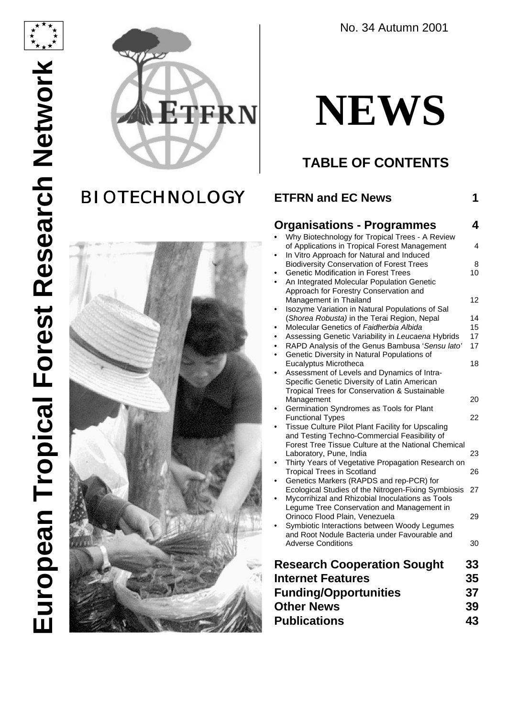

# **BIOTECHNOLOGY**



No. 34 Autumn 2001

# **NEWS**

# **TABLE OF CONTENTS**

# **ETFRN and EC News 1**

| <b>Organisations - Programmes</b>                                                                 | 4        |
|---------------------------------------------------------------------------------------------------|----------|
| Why Biotechnology for Tropical Trees - A Review<br>of Applications in Tropical Forest Management  | 4        |
| In Vitro Approach for Natural and Induced<br><b>Biodiversity Conservation of Forest Trees</b>     | 8        |
| <b>Genetic Modification in Forest Trees</b>                                                       | 10       |
| An Integrated Molecular Population Genetic<br>Approach for Forestry Conservation and              |          |
| Management in Thailand                                                                            | 12       |
| Isozyme Variation in Natural Populations of Sal                                                   |          |
| (Shorea Robusta) in the Terai Region, Nepal<br>Molecular Genetics of Faidherbia Albida            | 14<br>15 |
| Assessing Genetic Variability in Leucaena Hybrids                                                 | 17       |
| RAPD Analysis of the Genus Bambusa 'Sensu lato'<br>$\bullet$                                      | 17       |
| Genetic Diversity in Natural Populations of<br>٠                                                  |          |
| Eucalyptus Microtheca<br>Assessment of Levels and Dynamics of Intra-                              | 18       |
| Specific Genetic Diversity of Latin American                                                      |          |
| Tropical Trees for Conservation & Sustainable                                                     |          |
| Management<br>Germination Syndromes as Tools for Plant                                            | 20       |
| <b>Functional Types</b>                                                                           | 22       |
| Tissue Culture Pilot Plant Facility for Upscaling<br>and Testing Techno-Commercial Feasibility of |          |
| Forest Tree Tissue Culture at the National Chemical<br>Laboratory, Pune, India                    | 23       |
| Thirty Years of Vegetative Propagation Research on                                                |          |
| <b>Tropical Trees in Scotland</b>                                                                 | 26       |
| Genetics Markers (RAPDS and rep-PCR) for<br>Ecological Studies of the Nitrogen-Fixing Symbiosis   | 27       |
| Mycorrihizal and Rhizobial Inoculations as Tools<br>Legume Tree Conservation and Management in    |          |
| Orinoco Flood Plain, Venezuela                                                                    | 29       |
| Symbiotic Interactions between Woody Legumes                                                      |          |
| and Root Nodule Bacteria under Favourable and<br><b>Adverse Conditions</b>                        | 30       |
| <b>Research Cooperation Sought</b>                                                                | 33       |
| <b>Internet Features</b>                                                                          | 35       |
|                                                                                                   |          |
| <b>Funding/Opportunities</b>                                                                      | 37       |
| <b>Other News</b>                                                                                 | 39       |
| <b>Publications</b>                                                                               | 43       |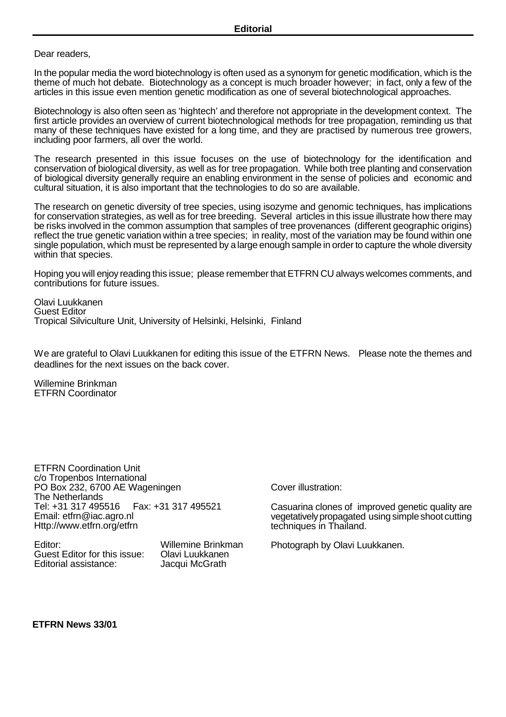Dear readers.

In the popular media the word biotechnology is often used as a synonym for genetic modification, which is the theme of much hot debate. Biotechnology as a concept is much broader however; in fact, only a few of the articles in this issue even mention genetic modification as one of several biotechnological approaches.

Biotechnology is also often seen as 'hightech' and therefore not appropriate in the development context. The first article provides an overview of current biotechnological methods for tree propagation, reminding us that many of these techniques have existed for a long time, and they are practised by numerous tree growers, including poor farmers, all over the world.

The research presented in this issue focuses on the use of biotechnology for the identification and conservation of biological diversity, as well as for tree propagation. While both tree planting and conservation of biological diversity generally require an enabling environment in the sense of policies and economic and cultural situation, it is also important that the technologies to do so are available.

The research on genetic diversity of tree species, using isozyme and genomic techniques, has implications for conservation strategies, as well as for tree breeding. Several articles in this issue illustrate how there may be risks involved in the common assumption that samples of tree provenances (different geographic origins) reflect the true genetic variation within a tree species; in reality, most of the variation may be found within one single population, which must be represented by a large enough sample in orderto capture the whole diversity within that species.

Hoping you will enjoy reading this issue; please remember that ETFRN CU always welcomes comments, and contributions for future issues.

Olavi Luukkanen Guest Editor Tropical Silviculture Unit, University of Helsinki, Helsinki, Finland

We are grateful to Olavi Luukkanen for editing this issue of the ETFRN News. Please note the themes and deadlines for the next issues on the back cover.

Willemine Brinkman ETFRN Coordinator

ETFRN Coordination Unit c/o Tropenbos International PO Box 232, 6700 AE Wageningen The Netherlands<br>Tel: +31 317 495516 Fax: +31 317 495521 Email: etfrn@iac.agro.nl Http://www.etfrn.org/etfrn

Editor: Willemine Brinkman Guest Editor for this issue: Clavi Luukkanen<br>Editorial assistance: Jacqui McGrath Editorial assistance:

Cover illustration:

Casuarina clones of improved genetic quality are vegetatively propagated using simple shoot cutting techniques in Thailand.

Photograph by Olavi Luukkanen.

**ETFRN News 33/01**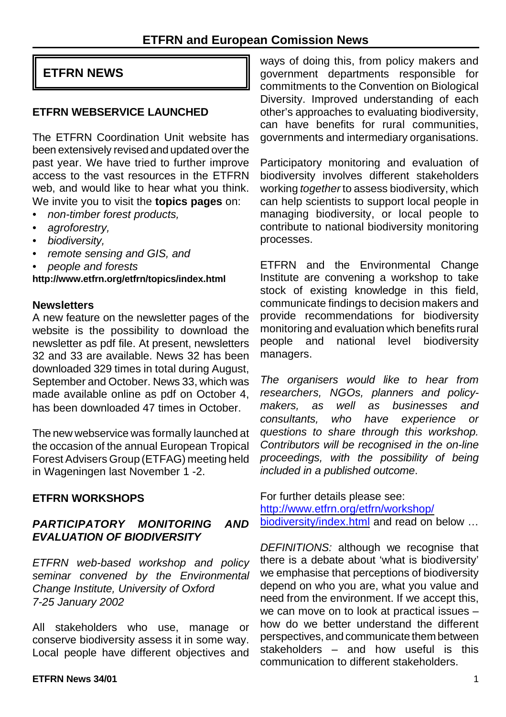# **ETFRN NEWS**

#### **ETFRN WEBSERVICE LAUNCHED**

The ETFRN Coordination Unit website has been extensively revised and updated over the past year. We have tried to further improve access to the vast resources in the ETFRN web, and would like to hear what you think. We invite you to visit the **topics pages** on:

- *• non-timber forest products,*
- *• agroforestry,*
- *• biodiversity,*
- *• remote sensing and GIS, and*
- *• people and forests*

**http://www.etfrn.org/etfrn/topics/index.html**

#### **Newsletters**

A new feature on the newsletter pages of the website is the possibility to download the newsletter as pdf file. At present, newsletters 32 and 33 are available. News 32 has been downloaded 329 times in total during August, September and October. News 33, which was made available online as pdf on October 4, has been downloaded 47 times in October.

The new webservice was formally launched at the occasion of the annual European Tropical Forest Advisers Group (ETFAG) meeting held in Wageningen last November 1 -2.

# **ETFRN WORKSHOPS**

#### *PARTICIPATORY MONITORING AND EVALUATION OF BIODIVERSITY*

*ETFRN web-based workshop and policy seminar convened by the Environmental Change Institute, University of Oxford 7-25 January 2002*

All stakeholders who use, manage or conserve biodiversity assess it in some way. Local people have different objectives and

ways of doing this, from policy makers and government departments responsible for commitments to the Convention on Biological Diversity. Improved understanding of each other's approaches to evaluating biodiversity, can have benefits for rural communities, governments and intermediary organisations.

Participatory monitoring and evaluation of biodiversity involves different stakeholders working *together* to assess biodiversity, which can help scientists to support local people in managing biodiversity, or local people to contribute to national biodiversity monitoring processes.

ETFRN and the Environmental Change Institute are convening a workshop to take stock of existing knowledge in this field, communicate findings to decision makers and provide recommendations for biodiversity monitoring and evaluation which benefits rural people and national level biodiversity managers.

*The organisers would like to hear from researchers, NGOs, planners and policymakers, as well as businesses and consultants, who have experience or questions to share through this workshop. Contributors will be recognised in the on-line proceedings, with the possibility of being included in a published outcome*.

For further details please see: http://www.etfrn.org/etfrn/workshop/ biodiversity/index.html and read on below ...

*DEFINITIONS:* although we recognise that there is a debate about 'what is biodiversity' we emphasise that perceptions of biodiversity depend on who you are, what you value and need from the environment. If we accept this, we can move on to look at practical issues – how do we better understand the different perspectives, and communicate them between stakeholders – and how useful is this communication to different stakeholders.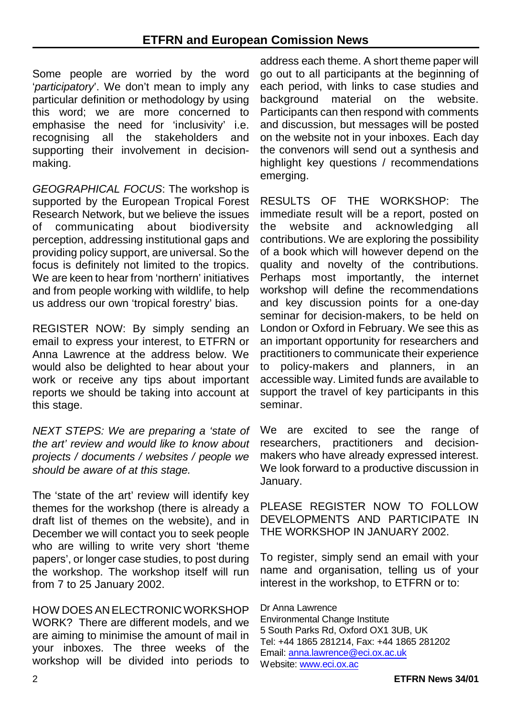Some people are worried by the word '*participatory*'. We don't mean to imply any particular definition or methodology by using this word; we are more concerned to emphasise the need for 'inclusivity' i.e. recognising all the stakeholders and supporting their involvement in decisionmaking.

*GEOGRAPHICAL FOCUS*: The workshop is supported by the European Tropical Forest Research Network, but we believe the issues of communicating about biodiversity perception, addressing institutional gaps and providing policy support, are universal. So the focus is definitely not limited to the tropics. We are keen to hear from 'northern' initiatives and from people working with wildlife, to help us address our own 'tropical forestry' bias.

REGISTER NOW: By simply sending an email to express your interest, to ETFRN or Anna Lawrence at the address below. We would also be delighted to hear about your work or receive any tips about important reports we should be taking into account at this stage.

*NEXT STEPS: We are preparing a 'state of the art' review and would like to know about projects / documents / websites / people we should be aware of at this stage.* 

The 'state of the art' review will identify key themes for the workshop (there is already a draft list of themes on the website), and in December we will contact you to seek people who are willing to write very short 'theme papers', or longer case studies, to post during the workshop. The workshop itself will run from 7 to 25 January 2002.

HOW DOES AN ELECTRONICWORKSHOP WORK? There are different models, and we are aiming to minimise the amount of mail in your inboxes. The three weeks of the workshop will be divided into periods to

address each theme. A short theme paper will go out to all participants at the beginning of each period, with links to case studies and background material on the website. Participants can then respond with comments and discussion, but messages will be posted on the website not in your inboxes. Each day the convenors will send out a synthesis and highlight key questions / recommendations emerging.

RESULTS OF THE WORKSHOP: The immediate result will be a report, posted on the website and acknowledging all contributions. We are exploring the possibility of a book which will however depend on the quality and novelty of the contributions. Perhaps most importantly, the internet workshop will define the recommendations and key discussion points for a one-day seminar for decision-makers, to be held on London or Oxford in February. We see this as an important opportunity for researchers and practitioners to communicate their experience to policy-makers and planners, in an accessible way. Limited funds are available to support the travel of key participants in this seminar.

We are excited to see the range of researchers, practitioners and decisionmakers who have already expressed interest. We look forward to a productive discussion in January.

PLEASE REGISTER NOW TO FOLLOW DEVELOPMENTS AND PARTICIPATE IN THE WORKSHOP IN JANUARY 2002.

To register, simply send an email with your name and organisation, telling us of your interest in the workshop, to ETFRN or to:

Dr Anna Lawrence Environmental Change Institute 5 South Parks Rd, Oxford OX1 3UB, UK Tel: +44 1865 281214, Fax: +44 1865 281202 Email: anna.lawrence@eci.ox.ac.uk Website: www.eci.ox.ac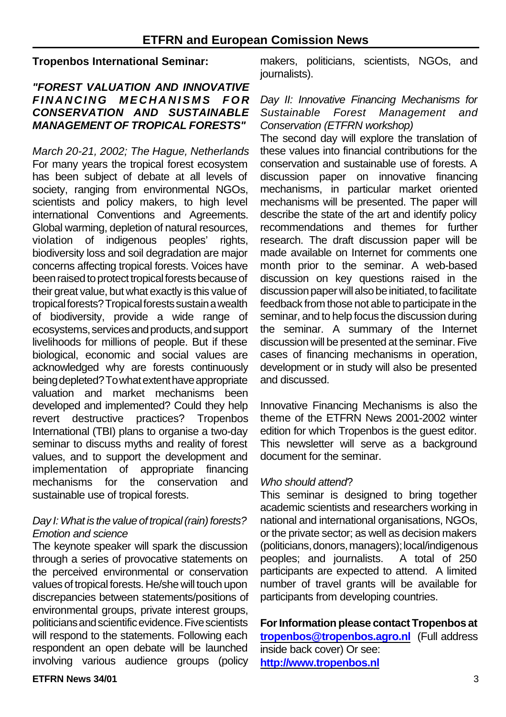#### **Tropenbos International Seminar:**

#### *"FOREST VALUATION AND INNOVATIVE FINANCING MECHANISMS F O R CONSERVATION AND SUSTAINABLE MANAGEMENT OF TROPICAL FORESTS"*

*March 20-21, 2002; The Hague, Netherlands* For many years the tropical forest ecosystem has been subject of debate at all levels of society, ranging from environmental NGOs, scientists and policy makers, to high level international Conventions and Agreements. Global warming, depletion of natural resources, violation of indigenous peoples' rights, biodiversity loss and soil degradation are major concerns affecting tropical forests. Voices have been raised to protect tropical forests because of their great value, but what exactly is this value of tropical forests? Tropical forests sustain a wealth of biodiversity, provide a wide range of ecosystems, services and products, and support livelihoods for millions of people. But if these biological, economic and social values are acknowledged why are forests continuously being depleted? To what extent have appropriate valuation and market mechanisms been developed and implemented? Could they help revert destructive practices? Tropenbos International (TBI) plans to organise a two-day seminar to discuss myths and reality of forest values, and to support the development and implementation of appropriate financing mechanisms for the conservation and sustainable use of tropical forests.

#### *Day I: What is the value of tropical (rain) forests? Emotion and science*

The keynote speaker will spark the discussion through a series of provocative statements on the perceived environmental or conservation values of tropical forests. He/she will touch upon discrepancies between statements/positions of environmental groups, private interest groups, politicians and scientific evidence. Five scientists will respond to the statements. Following each respondent an open debate will be launched involving various audience groups (policy makers, politicians, scientists, NGOs, and journalists).

#### *Day II: Innovative Financing Mechanisms for Sustainable Forest Management and Conservation (ETFRN workshop)*

The second day will explore the translation of these values into financial contributions for the conservation and sustainable use of forests. A discussion paper on innovative financing mechanisms, in particular market oriented mechanisms will be presented. The paper will describe the state of the art and identify policy recommendations and themes for further research. The draft discussion paper will be made available on Internet for comments one month prior to the seminar. A web-based discussion on key questions raised in the discussion paper will also be initiated, to facilitate feedback from those not able to participate in the seminar, and to help focus the discussion during the seminar. A summary of the Internet discussion will be presented at the seminar. Five cases of financing mechanisms in operation, development or in study will also be presented and discussed.

Innovative Financing Mechanisms is also the theme of the ETFRN News 2001-2002 winter edition for which Tropenbos is the guest editor. This newsletter will serve as a background document for the seminar.

#### *Who should attend*?

This seminar is designed to bring together academic scientists and researchers working in national and international organisations, NGOs, or the private sector; as well as decision makers (politicians, donors, managers); local/indigenous peoples; and journalists. A total of 250 participants are expected to attend. A limited number of travel grants will be available for participants from developing countries.

**For Information please contact Tropenbos at tropenbos@tropenbos.agro.nl** (Full address inside back cover) Or see: **http://www.tropenbos.nl**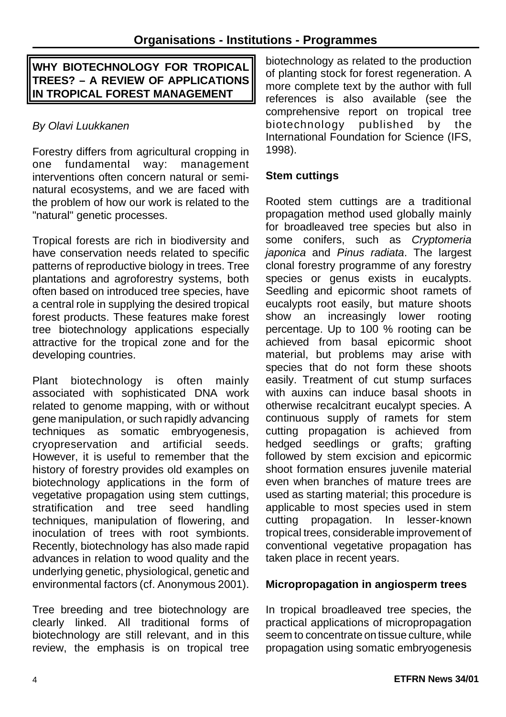# **WHY BIOTECHNOLOGY FOR TROPICAL TREES? – A REVIEW OF APPLICATIONS IN TROPICAL FOREST MANAGEMENT**

# *By Olavi Luukkanen*

Forestry differs from agricultural cropping in one fundamental way: management interventions often concern natural or seminatural ecosystems, and we are faced with the problem of how our work is related to the "natural" genetic processes.

Tropical forests are rich in biodiversity and have conservation needs related to specific patterns of reproductive biology in trees. Tree plantations and agroforestry systems, both often based on introduced tree species, have a central role in supplying the desired tropical forest products. These features make forest tree biotechnology applications especially attractive for the tropical zone and for the developing countries.

Plant biotechnology is often mainly associated with sophisticated DNA work related to genome mapping, with or without gene manipulation, or such rapidly advancing techniques as somatic embryogenesis, cryopreservation and artificial seeds. However, it is useful to remember that the history of forestry provides old examples on biotechnology applications in the form of vegetative propagation using stem cuttings, stratification and tree seed handling techniques, manipulation of flowering, and inoculation of trees with root symbionts. Recently, biotechnology has also made rapid advances in relation to wood quality and the underlying genetic, physiological, genetic and environmental factors (cf. Anonymous 2001).

Tree breeding and tree biotechnology are clearly linked. All traditional forms of biotechnology are still relevant, and in this review, the emphasis is on tropical tree

biotechnology as related to the production of planting stock for forest regeneration. A more complete text by the author with full references is also available (see the comprehensive report on tropical tree biotechnology published by the International Foundation for Science (IFS, 1998).

#### **Stem cuttings**

Rooted stem cuttings are a traditional propagation method used globally mainly for broadleaved tree species but also in some conifers, such as *Cryptomeria japonica* and *Pinus radiata*. The largest clonal forestry programme of any forestry species or genus exists in eucalypts. Seedling and epicormic shoot ramets of eucalypts root easily, but mature shoots show an increasingly lower rooting percentage. Up to 100 % rooting can be achieved from basal epicormic shoot material, but problems may arise with species that do not form these shoots easily. Treatment of cut stump surfaces with auxins can induce basal shoots in otherwise recalcitrant eucalypt species. A continuous supply of ramets for stem cutting propagation is achieved from hedged seedlings or grafts; grafting followed by stem excision and epicormic shoot formation ensures juvenile material even when branches of mature trees are used as starting material; this procedure is applicable to most species used in stem cutting propagation. In lesser-known tropical trees, considerable improvement of conventional vegetative propagation has taken place in recent years.

#### **Micropropagation in angiosperm trees**

In tropical broadleaved tree species, the practical applications of micropropagation seem to concentrate on tissue culture, while propagation using somatic embryogenesis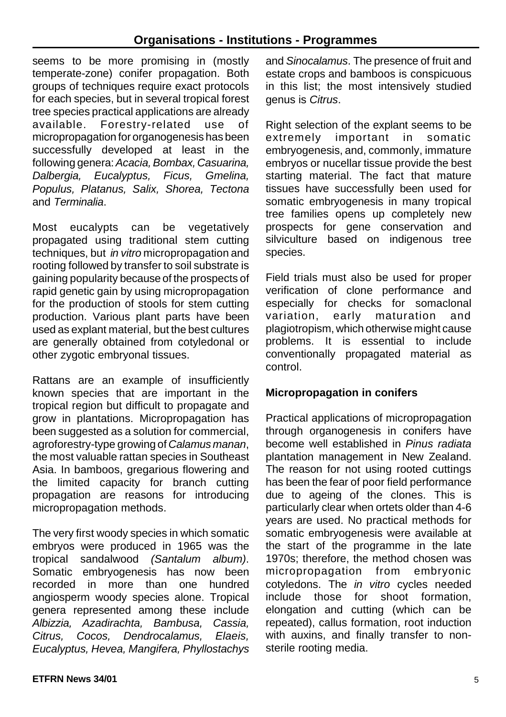seems to be more promising in (mostly temperate-zone) conifer propagation. Both groups of techniques require exact protocols for each species, but in several tropical forest tree species practical applications are already available. Forestry-related use of micropropagation for organogenesis has been successfully developed at least in the following genera:*Acacia,Bombax, Casuarina, Dalbergia, Eucalyptus, Ficus, Gmelina, Populus, Platanus, Salix, Shorea, Tectona* and *Terminalia*.

Most eucalypts can be vegetatively propagated using traditional stem cutting techniques, but *in vitro* micropropagation and rooting followed by transfer to soil substrate is gaining popularity because of the prospects of rapid genetic gain by using micropropagation for the production of stools for stem cutting production. Various plant parts have been used as explant material, but the best cultures are generally obtained from cotyledonal or other zygotic embryonal tissues.

Rattans are an example of insufficiently known species that are important in the tropical region but difficult to propagate and grow in plantations. Micropropagation has been suggested as a solution for commercial, agroforestry-type growing of *Calamus manan*, the most valuable rattan species in Southeast Asia. In bamboos, gregarious flowering and the limited capacity for branch cutting propagation are reasons for introducing micropropagation methods.

The very first woody species in which somatic embryos were produced in 1965 was the tropical sandalwood *(Santalum album)*. Somatic embryogenesis has now been recorded in more than one hundred angiosperm woody species alone. Tropical genera represented among these include *Albizzia, Azadirachta, Bambusa, Cassia, Citrus, Cocos, Dendrocalamus, Elaeis, Eucalyptus, Hevea, Mangifera, Phyllostachys* and *Sinocalamus*. The presence of fruit and estate crops and bamboos is conspicuous in this list; the most intensively studied genus is *Citrus*.

Right selection of the explant seems to be extremely important in somatic embryogenesis, and, commonly, immature embryos or nucellar tissue provide the best starting material. The fact that mature tissues have successfully been used for somatic embryogenesis in many tropical tree families opens up completely new prospects for gene conservation and silviculture based on indigenous tree species.

Field trials must also be used for proper verification of clone performance and especially for checks for somaclonal variation, early maturation and plagiotropism, which otherwise might cause problems. It is essential to include conventionally propagated material as control.

#### **Micropropagation in conifers**

Practical applications of micropropagation through organogenesis in conifers have become well established in *Pinus radiata* plantation management in New Zealand. The reason for not using rooted cuttings has been the fear of poor field performance due to ageing of the clones. This is particularly clear when ortets older than 4-6 years are used. No practical methods for somatic embryogenesis were available at the start of the programme in the late 1970s; therefore, the method chosen was micropropagation from embryonic cotyledons. The *in vitro* cycles needed include those for shoot formation elongation and cutting (which can be repeated), callus formation, root induction with auxins, and finally transfer to nonsterile rooting media.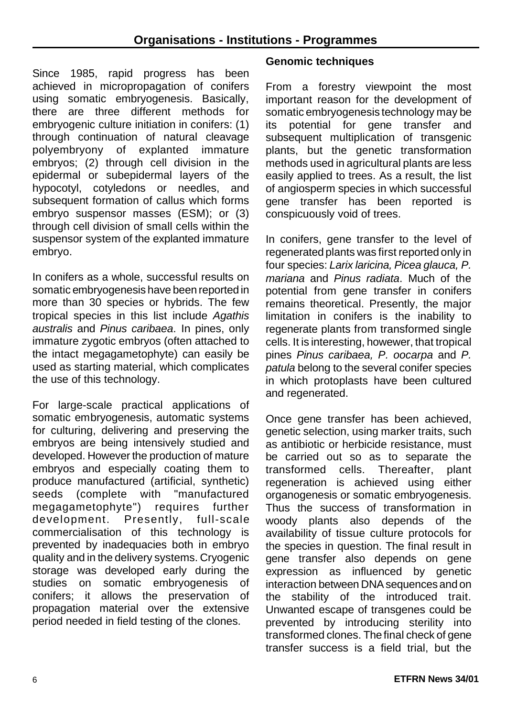Since 1985, rapid progress has been achieved in micropropagation of conifers using somatic embryogenesis. Basically, there are three different methods for embryogenic culture initiation in conifers: (1) through continuation of natural cleavage polyembryony of explanted immature embryos; (2) through cell division in the epidermal or subepidermal layers of the hypocotyl, cotyledons or needles, and subsequent formation of callus which forms embryo suspensor masses (ESM); or (3) through cell division of small cells within the suspensor system of the explanted immature embryo.

In conifers as a whole, successful results on somatic embryogenesis have been reported in more than 30 species or hybrids. The few tropical species in this list include *Agathis australis* and *Pinus caribaea*. In pines, only immature zygotic embryos (often attached to the intact megagametophyte) can easily be used as starting material, which complicates the use of this technology.

For large-scale practical applications of somatic embryogenesis, automatic systems for culturing, delivering and preserving the embryos are being intensively studied and developed. However the production of mature embryos and especially coating them to produce manufactured (artificial, synthetic) seeds (complete with "manufactured megagametophyte") requires further development. Presently, full-scale commercialisation of this technology is prevented by inadequacies both in embryo quality and in the delivery systems. Cryogenic storage was developed early during the studies on somatic embryogenesis of conifers; it allows the preservation of propagation material over the extensive period needed in field testing of the clones.

#### **Genomic techniques**

From a forestry viewpoint the most important reason for the development of somatic embryogenesis technology may be its potential for gene transfer and subsequent multiplication of transgenic plants, but the genetic transformation methods used in agricultural plants are less easily applied to trees. As a result, the list of angiosperm species in which successful gene transfer has been reported is conspicuously void of trees.

In conifers, gene transfer to the level of regenerated plants was first reported only in four species: *Larix laricina, Picea glauca, P. mariana* and *Pinus radiata*. Much of the potential from gene transfer in conifers remains theoretical. Presently, the major limitation in conifers is the inability to regenerate plants from transformed single cells. It is interesting, howewer, that tropical pines *Pinus caribaea, P. oocarpa* and *P. patula* belong to the several conifer species in which protoplasts have been cultured and regenerated.

Once gene transfer has been achieved, genetic selection, using marker traits, such as antibiotic or herbicide resistance, must be carried out so as to separate the transformed cells. Thereafter, plant regeneration is achieved using either organogenesis or somatic embryogenesis. Thus the success of transformation in woody plants also depends of the availability of tissue culture protocols for the species in question. The final result in gene transfer also depends on gene expression as influenced by genetic interaction between DNA sequences and on the stability of the introduced trait. Unwanted escape of transgenes could be prevented by introducing sterility into transformed clones. The final check of gene transfer success is a field trial, but the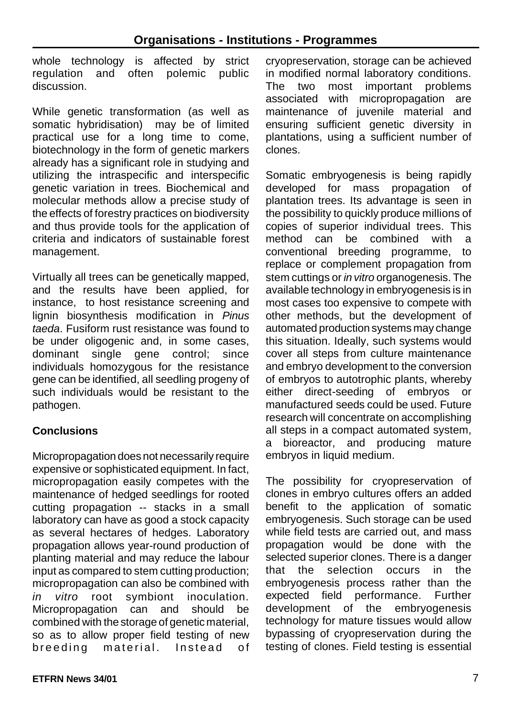whole technology is affected by strict regulation and often polemic public discussion.

While genetic transformation (as well as somatic hybridisation) may be of limited practical use for a long time to come, biotechnology in the form of genetic markers already has a significant role in studying and utilizing the intraspecific and interspecific genetic variation in trees. Biochemical and molecular methods allow a precise study of the effects of forestry practices on biodiversity and thus provide tools for the application of criteria and indicators of sustainable forest management.

Virtually all trees can be genetically mapped, and the results have been applied, for instance, to host resistance screening and lignin biosynthesis modification in *Pinus taeda*. Fusiform rust resistance was found to be under oligogenic and, in some cases, dominant single gene control; since individuals homozygous for the resistance gene can be identified, all seedling progeny of such individuals would be resistant to the pathogen.

# **Conclusions**

Micropropagation does not necessarily require expensive or sophisticated equipment. In fact, micropropagation easily competes with the maintenance of hedged seedlings for rooted cutting propagation -- stacks in a small laboratory can have as good a stock capacity as several hectares of hedges. Laboratory propagation allows year-round production of planting material and may reduce the labour input as compared to stem cutting production; micropropagation can also be combined with *in vitro* root symbiont inoculation. Micropropagation can and should be combined with the storage of genetic material, so as to allow proper field testing of new breeding material. Instead of

cryopreservation, storage can be achieved in modified normal laboratory conditions. The two most important problems associated with micropropagation are maintenance of juvenile material and ensuring sufficient genetic diversity in plantations, using a sufficient number of clones.

Somatic embryogenesis is being rapidly developed for mass propagation of plantation trees. Its advantage is seen in the possibility to quickly produce millions of copies of superior individual trees. This method can be combined with a conventional breeding programme, to replace or complement propagation from stem cuttings or *in vitro* organogenesis. The available technology in embryogenesis is in most cases too expensive to compete with other methods, but the development of automated production systems may change this situation. Ideally, such systems would cover all steps from culture maintenance and embryo development to the conversion of embryos to autotrophic plants, whereby either direct-seeding of embryos or manufactured seeds could be used. Future research will concentrate on accomplishing all steps in a compact automated system, a bioreactor, and producing mature embryos in liquid medium.

The possibility for cryopreservation of clones in embryo cultures offers an added benefit to the application of somatic embryogenesis. Such storage can be used while field tests are carried out, and mass propagation would be done with the selected superior clones. There is a danger that the selection occurs in the embryogenesis process rather than the expected field performance. Further development of the embryogenesis technology for mature tissues would allow bypassing of cryopreservation during the testing of clones. Field testing is essential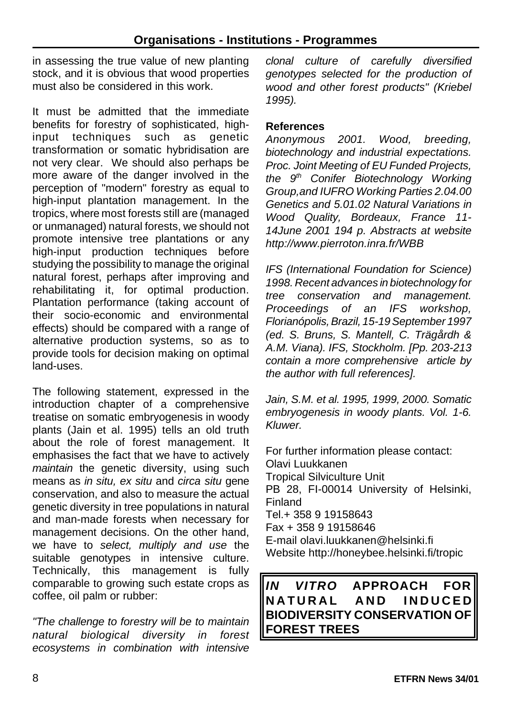in assessing the true value of new planting stock, and it is obvious that wood properties must also be considered in this work.

It must be admitted that the immediate benefits for forestry of sophisticated, highinput techniques such as genetic transformation or somatic hybridisation are not very clear. We should also perhaps be more aware of the danger involved in the perception of "modern" forestry as equal to high-input plantation management. In the tropics, where most forests still are (managed or unmanaged) natural forests, we should not promote intensive tree plantations or any high-input production techniques before studying the possibility to manage the original natural forest, perhaps after improving and rehabilitating it, for optimal production. Plantation performance (taking account of their socio-economic and environmental effects) should be compared with a range of alternative production systems, so as to provide tools for decision making on optimal land-uses.

The following statement, expressed in the introduction chapter of a comprehensive treatise on somatic embryogenesis in woody plants (Jain et al. 1995) tells an old truth about the role of forest management. It emphasises the fact that we have to actively *maintain* the genetic diversity, using such means as *in situ, ex situ* and *circa situ* gene conservation, and also to measure the actual genetic diversity in tree populations in natural and man-made forests when necessary for management decisions. On the other hand, we have to *select, multiply and use* the suitable genotypes in intensive culture. Technically, this management is fully comparable to growing such estate crops as coffee, oil palm or rubber:

*"The challenge to forestry will be to maintain natural biological diversity in forest ecosystems in combination with intensive*

*clonal culture of carefully diversified genotypes selected for the production of wood and other forest products" (Kriebel 1995).*

#### **References**

*Anonymous 2001. Wood, breeding, biotechnology and industrial expectations. Proc. Joint Meeting of EU Funded Projects, the 9 th Conifer Biotechnology Working Group,and IUFRO Working Parties 2.04.00 Genetics and 5.01.02 Natural Variations in Wood Quality, Bordeaux, France 11- 14June 2001 194 p. Abstracts at website http://www.pierroton.inra.fr/WBB*

*IFS (International Foundation for Science) 1998. Recent advances in biotechnology for tree conservation and management. Proceedings of an IFS workshop, Florianópolis,Brazil, 15-19 September 1997 (ed. S. Bruns, S. Mantell, C. Trägårdh & A.M. Viana). IFS, Stockholm. [Pp. 203-213 contain a more comprehensive article by the author with full references].*

*Jain, S.M. et al. 1995, 1999, 2000. Somatic embryogenesis in woody plants. Vol. 1-6. Kluwer.* 

For further information please contact: Olavi Luukkanen Tropical Silviculture Unit PB 28, FI-00014 University of Helsinki, Finland Tel.+ 358 9 19158643 Fax + 358 9 19158646 E-mail olavi.luukkanen@helsinki.fi Website http://honeybee.helsinki.fi/tropic

*IN VITRO* **APPROACH FOR NATURAL AND INDUCE D BIODIVERSITY CONSERVATION OF FOREST TREES**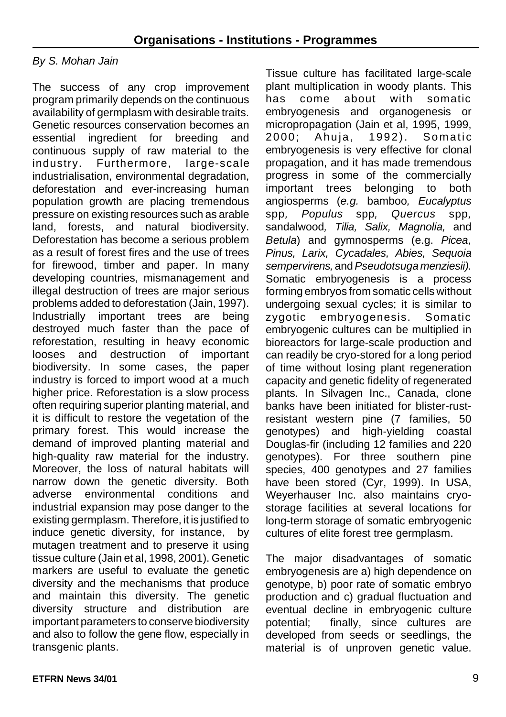#### *By S. Mohan Jain*

The success of any crop improvement program primarily depends on the continuous availability of germplasm with desirable traits. Genetic resources conservation becomes an essential ingredient for breeding and continuous supply of raw material to the industry. Furthermore, large-scale industrialisation, environmental degradation, deforestation and ever-increasing human population growth are placing tremendous pressure on existing resources such as arable land, forests, and natural biodiversity. Deforestation has become a serious problem as a result of forest fires and the use of trees for firewood, timber and paper. In many developing countries, mismanagement and illegal destruction of trees are major serious problems added to deforestation (Jain, 1997). Industrially important trees are being destroyed much faster than the pace of reforestation, resulting in heavy economic looses and destruction of important biodiversity. In some cases, the paper industry is forced to import wood at a much higher price. Reforestation is a slow process often requiring superior planting material, and it is difficult to restore the vegetation of the primary forest. This would increase the demand of improved planting material and high-quality raw material for the industry. Moreover, the loss of natural habitats will narrow down the genetic diversity. Both adverse environmental conditions and industrial expansion may pose danger to the existing germplasm. Therefore, it is justified to induce genetic diversity, for instance, by mutagen treatment and to preserve it using tissue culture (Jain et al, 1998, 2001). Genetic markers are useful to evaluate the genetic diversity and the mechanisms that produce and maintain this diversity. The genetic diversity structure and distribution are important parameters to conserve biodiversity and also to follow the gene flow, especially in transgenic plants.

Tissue culture has facilitated large-scale plant multiplication in woody plants. This has come about with somatic embryogenesis and organogenesis or micropropagation (Jain et al, 1995, 1999, 2000: Ahuja, 1992). Somatic embryogenesis is very effective for clonal propagation, and it has made tremendous progress in some of the commercially important trees belonging to both angiosperms (*e.g.* bamboo*, Eucalyptus* spp*, Populus* spp*, Quercus* spp*,* sandalwood*, Tilia, Salix, Magnolia,* and *Betula*) and gymnosperms (e.g. *Picea, Pinus, Larix, Cycadales, Abies, Sequoia sempervirens,* and*Pseudotsuga menziesii).* Somatic embryogenesis is a process forming embryos from somatic cells without undergoing sexual cycles; it is similar to zygotic embryogenesis. Somatic embryogenic cultures can be multiplied in bioreactors for large-scale production and can readily be cryo-stored for a long period of time without losing plant regeneration capacity and genetic fidelity of regenerated plants. In Silvagen Inc., Canada, clone banks have been initiated for blister-rustresistant western pine (7 families, 50 genotypes) and high-yielding coastal Douglas-fir (including 12 families and 220 genotypes). For three southern pine species, 400 genotypes and 27 families have been stored (Cyr, 1999). In USA, Weyerhauser Inc. also maintains cryostorage facilities at several locations for long-term storage of somatic embryogenic cultures of elite forest tree germplasm.

The major disadvantages of somatic embryogenesis are a) high dependence on genotype, b) poor rate of somatic embryo production and c) gradual fluctuation and eventual decline in embryogenic culture potential; finally, since cultures are developed from seeds or seedlings, the material is of unproven genetic value.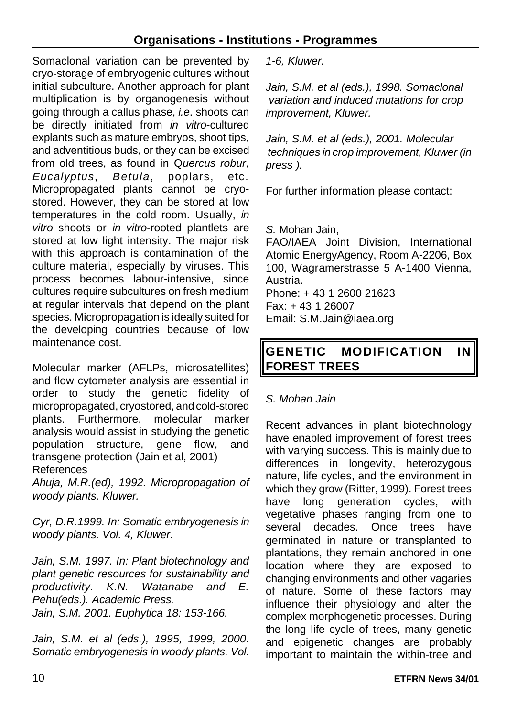Somaclonal variation can be prevented by cryo-storage of embryogenic cultures without initial subculture. Another approach for plant multiplication is by organogenesis without going through a callus phase, *i.e*. shoots can be directly initiated from *in vitro*-cultured explants such as mature embryos, shoot tips, and adventitious buds, or they can be excised from old trees, as found in Q*uercus robur*, *Eucalyptus*, *Betula*, poplars, etc. Micropropagated plants cannot be cryostored. However, they can be stored at low temperatures in the cold room. Usually, *in vitro* shoots or *in vitro*-rooted plantlets are stored at low light intensity. The major risk with this approach is contamination of the culture material, especially by viruses. This process becomes labour-intensive, since cultures require subcultures on fresh medium at regular intervals that depend on the plant species. Micropropagation is ideally suited for the developing countries because of low maintenance cost.

Molecular marker (AFLPs, microsatellites) and flow cytometer analysis are essential in order to study the genetic fidelity of micropropagated, cryostored, and cold-stored plants. Furthermore, molecular marker analysis would assist in studying the genetic population structure, gene flow, and transgene protection (Jain et al, 2001) References

*Ahuja, M.R.(ed), 1992. Micropropagation of woody plants, Kluwer.*

*Cyr, D.R.1999. In: Somatic embryogenesis in woody plants. Vol. 4, Kluwer.*

*Jain, S.M. 1997. In: Plant biotechnology and plant genetic resources for sustainability and productivity. K.N. Watanabe and E. Pehu(eds.). Academic Press. Jain, S.M. 2001. Euphytica 18: 153-166.*

*Jain, S.M. et al (eds.), 1995, 1999, 2000. Somatic embryogenesis in woody plants. Vol.*

*1-6, Kluwer.*

*Jain, S.M. et al (eds.), 1998. Somaclonal variation and induced mutations for crop improvement, Kluwer.*

*Jain, S.M. et al (eds.), 2001. Molecular techniques in crop improvement, Kluwer (in press ).*

For further information please contact:

*S.* Mohan Jain,

FAO/IAEA Joint Division, International Atomic EnergyAgency, Room A-2206, Box 100, Wagramerstrasse 5 A-1400 Vienna, Austria. Phone: + 43 1 2600 21623

Fax: + 43 1 26007 Email: S.M.Jain@iaea.org

# **GENETIC MODIFICATION IN FOREST TREES**

#### *S. Mohan Jain*

Recent advances in plant biotechnology have enabled improvement of forest trees with varying success. This is mainly due to differences in longevity, heterozygous nature, life cycles, and the environment in which they grow (Ritter, 1999). Forest trees have long generation cycles, with vegetative phases ranging from one to several decades. Once trees have germinated in nature or transplanted to plantations, they remain anchored in one location where they are exposed to changing environments and other vagaries of nature. Some of these factors may influence their physiology and alter the complex morphogenetic processes. During the long life cycle of trees, many genetic and epigenetic changes are probably important to maintain the within-tree and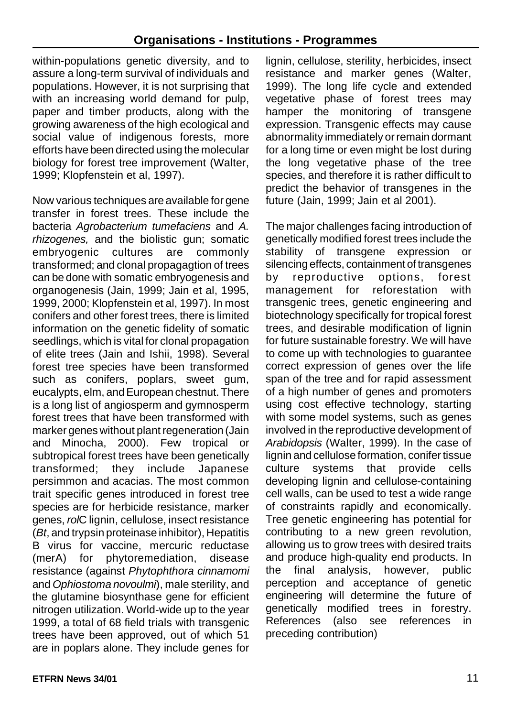within-populations genetic diversity, and to assure a long-term survival of individuals and populations. However, it is not surprising that with an increasing world demand for pulp, paper and timber products, along with the growing awareness of the high ecological and social value of indigenous forests, more efforts have been directed using the molecular biology for forest tree improvement (Walter, 1999; Klopfenstein et al, 1997).

Now various techniques are available for gene transfer in forest trees. These include the bacteria *Agrobacterium tumefaciens* and *A. rhizogenes,* and the biolistic gun; somatic embryogenic cultures are commonly transformed; and clonal propagagtion of trees can be done with somatic embryogenesis and organogenesis (Jain, 1999; Jain et al, 1995, 1999, 2000; Klopfenstein et al, 1997). In most conifers and other forest trees, there is limited information on the genetic fidelity of somatic seedlings, which is vital for clonal propagation of elite trees (Jain and Ishii, 1998). Several forest tree species have been transformed such as conifers, poplars, sweet gum, eucalypts, elm, and European chestnut. There is a long list of angiosperm and gymnosperm forest trees that have been transformed with marker genes without plant regeneration (Jain and Minocha, 2000). Few tropical or subtropical forest trees have been genetically transformed; they include Japanese persimmon and acacias. The most common trait specific genes introduced in forest tree species are for herbicide resistance, marker genes, *rol*C lignin, cellulose, insect resistance (*Bt*, and trypsin proteinase inhibitor), Hepatitis B virus for vaccine, mercuric reductase (merA) for phytoremediation, disease resistance (against *Phytophthora cinnamomi* and *Ophiostoma novoulmi*), male sterility, and the glutamine biosynthase gene for efficient nitrogen utilization. World-wide up to the year 1999, a total of 68 field trials with transgenic trees have been approved, out of which 51 are in poplars alone. They include genes for

lignin, cellulose, sterility, herbicides, insect resistance and marker genes (Walter, 1999). The long life cycle and extended vegetative phase of forest trees may hamper the monitoring of transgene expression. Transgenic effects may cause abnormality immediately or remain dormant for a long time or even might be lost during the long vegetative phase of the tree species, and therefore it is rather difficult to predict the behavior of transgenes in the future (Jain, 1999; Jain et al 2001).

The major challenges facing introduction of genetically modified forest trees include the stability of transgene expression or silencing effects, containment of transgenes by reproductive options, forest management for reforestation with transgenic trees, genetic engineering and biotechnology specifically for tropical forest trees, and desirable modification of lignin for future sustainable forestry. We will have to come up with technologies to guarantee correct expression of genes over the life span of the tree and for rapid assessment of a high number of genes and promoters using cost effective technology, starting with some model systems, such as genes involved in the reproductive development of *Arabidopsis* (Walter, 1999). In the case of lignin and cellulose formation, conifer tissue culture systems that provide cells developing lignin and cellulose-containing cell walls, can be used to test a wide range of constraints rapidly and economically. Tree genetic engineering has potential for contributing to a new green revolution, allowing us to grow trees with desired traits and produce high-quality end products. In the final analysis, however, public perception and acceptance of genetic engineering will determine the future of genetically modified trees in forestry. References (also see references in preceding contribution)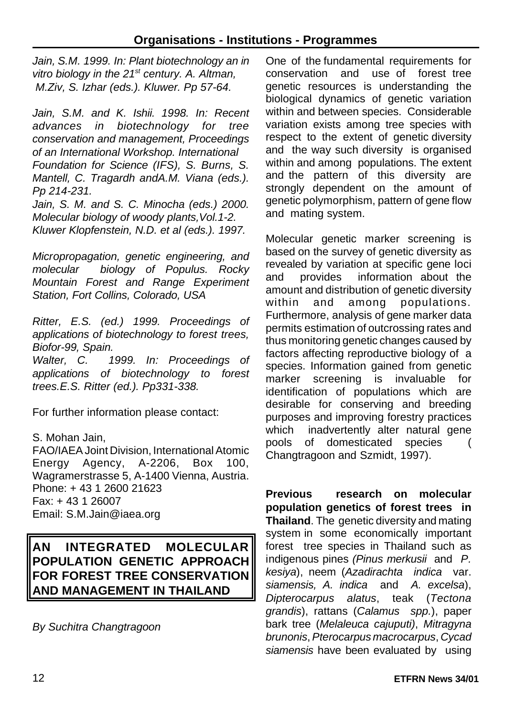*Jain, S.M. 1999. In: Plant biotechnology an in vitro biology in the 21st century. A. Altman, M.Ziv, S. Izhar (eds.). Kluwer. Pp 57-64.*

*Jain, S.M. and K. Ishii. 1998. In: Recent advances in biotechnology for tree conservation and management, Proceedings of an International Workshop. International Foundation for Science (IFS), S. Burns, S. Mantell, C. Tragardh andA.M. Viana (eds.). Pp 214-231.*

*Jain, S. M. and S. C. Minocha (eds.) 2000. Molecular biology of woody plants,Vol.1-2. Kluwer Klopfenstein, N.D. et al (eds.). 1997.*

*Micropropagation, genetic engineering, and molecular biology of Populus. Rocky Mountain Forest and Range Experiment Station, Fort Collins, Colorado, USA*

*Ritter, E.S. (ed.) 1999. Proceedings of applications of biotechnology to forest trees, Biofor-99, Spain.*

*Walter, C. 1999. In: Proceedings of applications of biotechnology to forest trees.E.S. Ritter (ed.). Pp331-338.*

For further information please contact:

S. Mohan Jain, FAO/IAEAJoint Division, International Atomic Energy Agency, A-2206, Box 100, Wagramerstrasse 5, A-1400 Vienna, Austria. Phone: + 43 1 2600 21623 Fax: + 43 1 26007 Email: S.M.Jain@iaea.org

**AN INTEGRATED MOLECULAR POPULATION GENETIC APPROACH FOR FOREST TREE CONSERVATION AND MANAGEMENT IN THAILAND**

*By Suchitra Changtragoon*

One of the fundamental requirements for conservation and use of forest tree genetic resources is understanding the biological dynamics of genetic variation within and between species. Considerable variation exists among tree species with respect to the extent of genetic diversity and the way such diversity is organised within and among populations. The extent and the pattern of this diversity are strongly dependent on the amount of genetic polymorphism, pattern of gene flow and mating system.

Molecular genetic marker screening is based on the survey of genetic diversity as revealed by variation at specific gene loci and provides information about the amount and distribution of genetic diversity within and among populations. Furthermore, analysis of gene marker data permits estimation of outcrossing rates and thus monitoring genetic changes caused by factors affecting reproductive biology of a species. Information gained from genetic marker screening is invaluable for identification of populations which are desirable for conserving and breeding purposes and improving forestry practices which inadvertently alter natural gene pools of domesticated species ( Changtragoon and Szmidt, 1997).

**Previous research on molecular population genetics of forest trees in Thailand**. The genetic diversity and mating system in some economically important forest tree species in Thailand such as indigenous pines *(Pinus merkusii* and *P. kesiya*), neem (*Azadirachta indica* var. *siamensis, A. indica* and *A. excelsa*), *Dipterocarpus alatus*, teak (*Tectona grandis*), rattans (*Calamus spp.*), paper bark tree (*Melaleuca cajuputi)*, *Mitragyna brunonis*, *Pterocarpus macrocarpus*, *Cycad siamensis* have been evaluated by using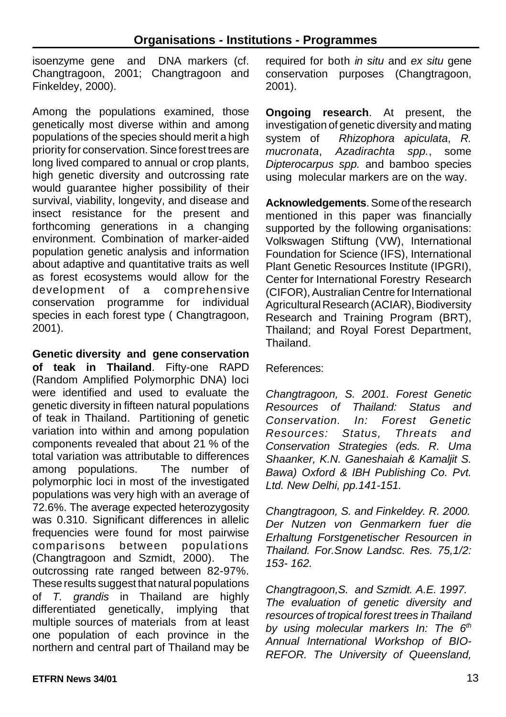isoenzyme gene and DNA markers (cf. Changtragoon, 2001; Changtragoon and Finkeldey, 2000).

Among the populations examined, those genetically most diverse within and among populations of the species should merit a high priority for conservation. Since forest trees are long lived compared to annual or crop plants, high genetic diversity and outcrossing rate would guarantee higher possibility of their survival, viability, longevity, and disease and insect resistance for the present and forthcoming generations in a changing environment. Combination of marker-aided population genetic analysis and information about adaptive and quantitative traits as well as forest ecosystems would allow for the development of a comprehensive conservation programme for individual species in each forest type ( Changtragoon, 2001).

**Genetic diversity and gene conservation of teak in Thailand**. Fifty-one RAPD (Random Amplified Polymorphic DNA) loci were identified and used to evaluate the genetic diversity in fifteen natural populations of teak in Thailand. Partitioning of genetic variation into within and among population components revealed that about 21 % of the total variation was attributable to differences among populations. The number of polymorphic loci in most of the investigated populations was very high with an average of 72.6%. The average expected heterozygosity was 0.310. Significant differences in allelic frequencies were found for most pairwise comparisons between populations (Changtragoon and Szmidt, 2000). The outcrossing rate ranged between 82-97%. These results suggest that natural populations of *T. grandis* in Thailand are highly differentiated genetically, implying that multiple sources of materials from at least one population of each province in the northern and central part of Thailand may be

required for both *in situ* and *ex situ* gene conservation purposes (Changtragoon, 2001).

**Ongoing research**. At present, the investigation of genetic diversity and mating system of *Rhizophora apiculata*, *R. mucronata*, *Azadirachta spp.*, some *Dipterocarpus spp.* and bamboo species using molecular markers are on the way.

**Acknowledgements**. Some of the research mentioned in this paper was financially supported by the following organisations: Volkswagen Stiftung (VW), International Foundation for Science (IFS), International Plant Genetic Resources Institute (IPGRI), Center for International Forestry Research (CIFOR), Australian Centre for International Agricultural Research (ACIAR), Biodiversity Research and Training Program (BRT), Thailand; and Royal Forest Department, **Thailand** 

References:

*Changtragoon, S. 2001. Forest Genetic Resources of Thailand: Status and Conservation. In: Forest Genetic Resources: Status, Threats and Conservation Strategies (eds. R. Uma Shaanker, K.N. Ganeshaiah & Kamaljit S. Bawa) Oxford & IBH Publishing Co. Pvt. Ltd. New Delhi, pp.141-151.*

*Changtragoon, S. and Finkeldey. R. 2000. Der Nutzen von Genmarkern fuer die Erhaltung Forstgenetischer Resourcen in Thailand. For.Snow Landsc. Res. 75,1/2: 153- 162.*

*Changtragoon,S. and Szmidt. A.E. 1997. The evaluation of genetic diversity and resources of tropical forest trees in Thailand by using molecular markers In: The 6 th Annual International Workshop of BIO-REFOR. The University of Queensland,*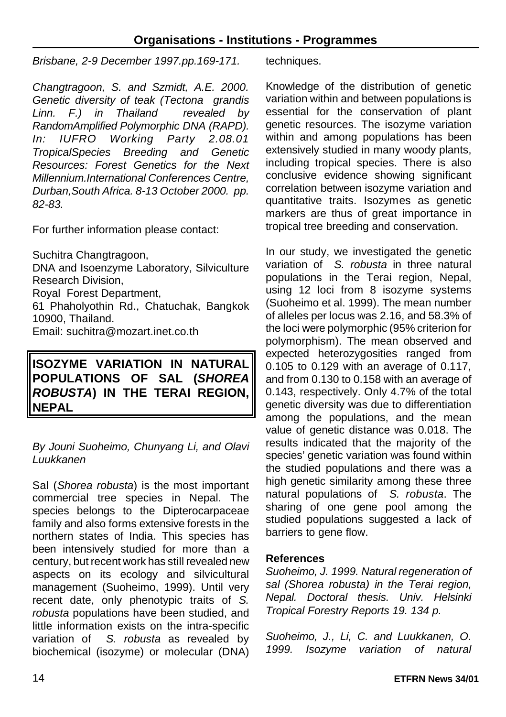*Brisbane, 2-9 December 1997.pp.169-171.* 

*Changtragoon, S. and Szmidt, A.E. 2000. Genetic diversity of teak (Tectona grandis Linn. F.) in Thailand revealed by RandomAmplified Polymorphic DNA (RAPD). In: IUFRO Working Party 2.08.01 TropicalSpecies Breeding and Genetic Resources: Forest Genetics for the Next Millennium.International Conferences Centre, Durban,South Africa. 8-13 October 2000. pp. 82-83.*

For further information please contact:

Suchitra Changtragoon,

DNA and Isoenzyme Laboratory, Silviculture Research Division, Royal Forest Department, 61 Phaholyothin Rd., Chatuchak, Bangkok 10900, Thailand.

Email: suchitra@mozart.inet.co.th

# **ISOZYME VARIATION IN NATURAL POPULATIONS OF SAL (***SHOREA ROBUSTA***) IN THE TERAI REGION, NEPAL**

#### *By Jouni Suoheimo, Chunyang Li, and Olavi Luukkanen*

Sal (*Shorea robusta*) is the most important commercial tree species in Nepal. The species belongs to the Dipterocarpaceae family and also forms extensive forests in the northern states of India. This species has been intensively studied for more than a century, but recent work has still revealed new aspects on its ecology and silvicultural management (Suoheimo, 1999). Until very recent date, only phenotypic traits of *S. robusta* populations have been studied, and little information exists on the intra-specific variation of *S. robusta* as revealed by biochemical (isozyme) or molecular (DNA) techniques.

Knowledge of the distribution of genetic variation within and between populations is essential for the conservation of plant genetic resources. The isozyme variation within and among populations has been extensively studied in many woody plants, including tropical species. There is also conclusive evidence showing significant correlation between isozyme variation and quantitative traits. Isozymes as genetic markers are thus of great importance in tropical tree breeding and conservation.

In our study, we investigated the genetic variation of *S. robusta* in three natural populations in the Terai region, Nepal, using 12 loci from 8 isozyme systems (Suoheimo et al. 1999). The mean number of alleles per locus was 2.16, and 58.3% of the loci were polymorphic (95% criterion for polymorphism). The mean observed and expected heterozygosities ranged from 0.105 to 0.129 with an average of 0.117, and from 0.130 to 0.158 with an average of 0.143, respectively. Only 4.7% of the total genetic diversity was due to differentiation among the populations, and the mean value of genetic distance was 0.018. The results indicated that the majority of the species' genetic variation was found within the studied populations and there was a high genetic similarity among these three natural populations of *S. robusta*. The sharing of one gene pool among the studied populations suggested a lack of barriers to gene flow.

#### **References**

*Suoheimo, J. 1999. Natural regeneration of sal (Shorea robusta) in the Terai region, Nepal. Doctoral thesis. Univ. Helsinki Tropical Forestry Reports 19. 134 p.*

*Suoheimo, J., Li, C. and Luukkanen, O. 1999. Isozyme variation of natural*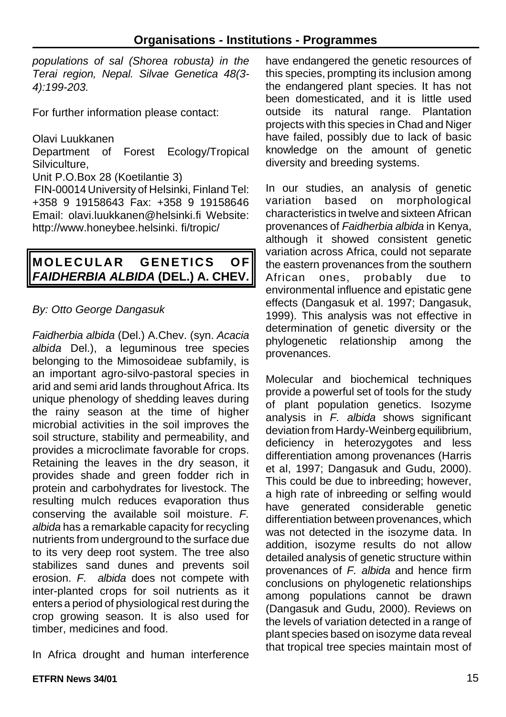*populations of sal (Shorea robusta) in the Terai region, Nepal. Silvae Genetica 48(3- 4):199-203.*

For further information please contact:

Olavi Luukkanen

Department of Forest Ecology/Tropical Silviculture,

Unit P.O.Box 28 (Koetilantie 3)

FIN-00014 University of Helsinki, Finland Tel: +358 9 19158643 Fax: +358 9 19158646 Email: olavi.luukkanen@helsinki.fi Website: http://www.honeybee.helsinki. fi/tropic/

# **MOLECULAR GENETICS OF** *FAIDHERBIA ALBIDA* **(DEL.) A. CHEV.**

# *By: Otto George Dangasuk*

*Faidherbia albida* (Del.) A.Chev. (syn. *Acacia albida* Del.), a leguminous tree species belonging to the Mimosoideae subfamily, is an important agro-silvo-pastoral species in arid and semi arid lands throughout Africa. Its unique phenology of shedding leaves during the rainy season at the time of higher microbial activities in the soil improves the soil structure, stability and permeability, and provides a microclimate favorable for crops. Retaining the leaves in the dry season, it provides shade and green fodder rich in protein and carbohydrates for livestock. The resulting mulch reduces evaporation thus conserving the available soil moisture. *F. albida* has a remarkable capacity for recycling nutrients from underground to the surface due to its very deep root system. The tree also stabilizes sand dunes and prevents soil erosion. *F. albida* does not compete with inter-planted crops for soil nutrients as it enters a period of physiological rest during the crop growing season. It is also used for timber, medicines and food.

In Africa drought and human interference

have endangered the genetic resources of this species, prompting its inclusion among the endangered plant species. It has not been domesticated, and it is little used outside its natural range. Plantation projects with this species in Chad and Niger have failed, possibly due to lack of basic knowledge on the amount of genetic diversity and breeding systems.

In our studies, an analysis of genetic variation based on morphological characteristics in twelve and sixteen African provenances of *Faidherbia albida* in Kenya, although it showed consistent genetic variation across Africa, could not separate the eastern provenances from the southern African ones, probably due to environmental influence and epistatic gene effects (Dangasuk et al. 1997; Dangasuk, 1999). This analysis was not effective in determination of genetic diversity or the phylogenetic relationship among the provenances.

Molecular and biochemical techniques provide a powerful set of tools for the study of plant population genetics. Isozyme analysis in *F. albida* shows significant deviation from Hardy-Weinberg equilibrium, deficiency in heterozygotes and less differentiation among provenances (Harris et al, 1997; Dangasuk and Gudu, 2000). This could be due to inbreeding; however, a high rate of inbreeding or selfing would have generated considerable genetic differentiation between provenances, which was not detected in the isozyme data. In addition, isozyme results do not allow detailed analysis of genetic structure within provenances of *F. albida* and hence firm conclusions on phylogenetic relationships among populations cannot be drawn (Dangasuk and Gudu, 2000). Reviews on the levels of variation detected in a range of plant species based on isozyme data reveal that tropical tree species maintain most of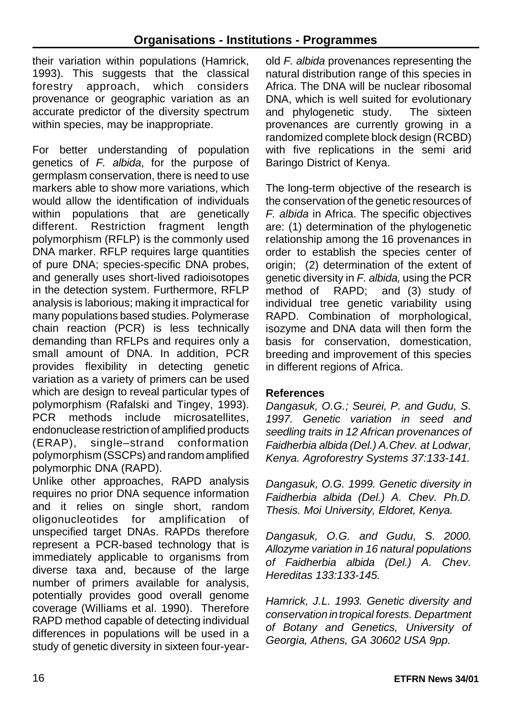their variation within populations (Hamrick, 1993). This suggests that the classical forestry approach, which considers provenance or geographic variation as an accurate predictor of the diversity spectrum within species, may be inappropriate.

For better understanding of population genetics of *F. albida*, for the purpose of germplasm conservation, there is need to use markers able to show more variations, which would allow the identification of individuals within populations that are genetically different. Restriction fragment length polymorphism (RFLP) is the commonly used DNA marker. RFLP requires large quantities of pure DNA; species-specific DNA probes, and generally uses short-lived radioisotopes in the detection system. Furthermore, RFLP analysis is laborious; making it impractical for many populations based studies. Polymerase chain reaction (PCR) is less technically demanding than RFLPs and requires only a small amount of DNA. In addition, PCR provides flexibility in detecting genetic variation as a variety of primers can be used which are design to reveal particular types of polymorphism (Rafalski and Tingey, 1993). PCR methods include microsatellites, endonuclease restriction of amplified products (ERAP), single–strand conformation polymorphism (SSCPs) and random amplified polymorphic DNA (RAPD).

Unlike other approaches, RAPD analysis requires no prior DNA sequence information and it relies on single short, random oligonucleotides for amplification of unspecified target DNAs. RAPDs therefore represent a PCR-based technology that is immediately applicable to organisms from diverse taxa and, because of the large number of primers available for analysis, potentially provides good overall genome coverage (Williams et al. 1990). Therefore RAPD method capable of detecting individual differences in populations will be used in a study of genetic diversity in sixteen four-year-

old *F. albida* provenances representing the natural distribution range of this species in Africa. The DNA will be nuclear ribosomal DNA, which is well suited for evolutionary and phylogenetic study. The sixteen provenances are currently growing in a randomized complete block design (RCBD) with five replications in the semi arid Baringo District of Kenya.

The long-term objective of the research is the conservation of the genetic resources of *F. albida* in Africa. The specific objectives are: (1) determination of the phylogenetic relationship among the 16 provenances in order to establish the species center of origin; (2) determination of the extent of genetic diversity in *F. albida,* using the PCR method of RAPD; and (3) study of individual tree genetic variability using RAPD. Combination of morphological, isozyme and DNA data will then form the basis for conservation, domestication, breeding and improvement of this species in different regions of Africa.

# **References**

*Dangasuk, O.G.; Seurei, P. and Gudu, S. 1997. Genetic variation in seed and seedling traits in 12 African provenances of Faidherbia albida (Del.) A.Chev. at Lodwar, Kenya. Agroforestry Systems 37:133-141.*

*Dangasuk, O.G. 1999. Genetic diversity in Faidherbia albida (Del.) A. Chev. Ph.D. Thesis. Moi University, Eldoret, Kenya.*

*Dangasuk, O.G. and Gudu, S. 2000. Allozyme variation in 16 natural populations of Faidherbia albida (Del.) A. Chev. Hereditas 133:133-145.*

*Hamrick, J.L. 1993. Genetic diversity and conservation intropical forests. Department of Botany and Genetics, University of Georgia, Athens, GA 30602 USA 9pp.*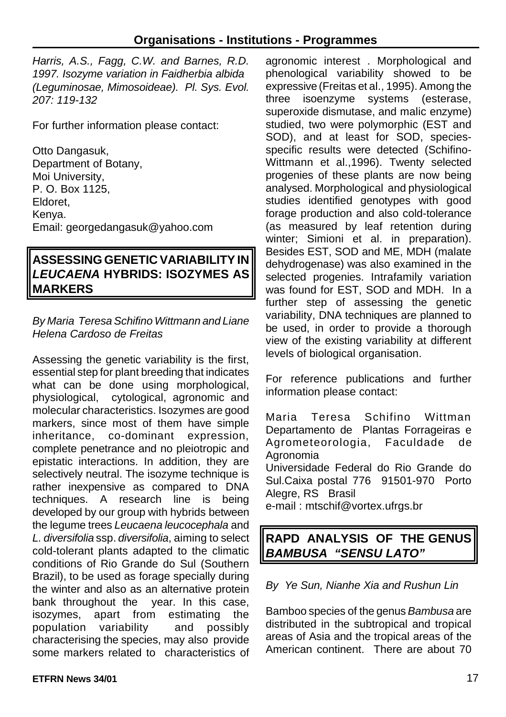*Harris, A.S., Fagg, C.W. and Barnes, R.D. 1997. Isozyme variation in Faidherbia albida (Leguminosae, Mimosoideae). Pl. Sys. Evol. 207: 119-132*

For further information please contact:

Otto Dangasuk, Department of Botany, Moi University, P. O. Box 1125, Eldoret, Kenya. Email: georgedangasuk@yahoo.com

# **ASSESSING GENETIC VARIABILITY IN** *LEUCAENA* **HYBRIDS: ISOZYMES AS MARKERS**

#### *By Maria Teresa Schifino Wittmann and Liane Helena Cardoso de Freitas*

Assessing the genetic variability is the first, essential step for plant breeding that indicates what can be done using morphological, physiological, cytological, agronomic and molecular characteristics. Isozymes are good markers, since most of them have simple inheritance, co-dominant expression, complete penetrance and no pleiotropic and epistatic interactions. In addition, they are selectively neutral. The isozyme technique is rather inexpensive as compared to DNA techniques. A research line is being developed by our group with hybrids between the legume trees *Leucaena leucocephala* and *L. diversifolia* ssp. *diversifolia*, aiming to select cold-tolerant plants adapted to the climatic conditions of Rio Grande do Sul (Southern Brazil), to be used as forage specially during the winter and also as an alternative protein bank throughout the year. In this case, isozymes, apart from estimating the population variability and possibly characterising the species, may also provide some markers related to characteristics of

agronomic interest . Morphological and phenological variability showed to be expressive (Freitas et al., 1995). Among the three isoenzyme systems (esterase, superoxide dismutase, and malic enzyme) studied, two were polymorphic (EST and SOD), and at least for SOD, speciesspecific results were detected (Schifino-Wittmann et al.,1996). Twenty selected progenies of these plants are now being analysed. Morphological and physiological studies identified genotypes with good forage production and also cold-tolerance (as measured by leaf retention during winter; Simioni et al. in preparation). Besides EST, SOD and ME, MDH (malate dehydrogenase) was also examined in the selected progenies. Intrafamily variation was found for EST, SOD and MDH. In a further step of assessing the genetic variability, DNA techniques are planned to be used, in order to provide a thorough view of the existing variability at different levels of biological organisation.

For reference publications and further information please contact:

Maria Teresa Schifino Wittman Departamento de Plantas Forrageiras e Agrometeorologia, Faculdade de Agronomia

Universidade Federal do Rio Grande do Sul.Caixa postal 776 91501-970 Porto Alegre, RS Brasil

e-mail : mtschif@vortex.ufrgs.br

# **RAPD ANALYSIS OF THE GENUS** *BAMBUSA**"SENSU LATO"*

*By Ye Sun, Nianhe Xia and Rushun Lin*

Bamboo species of the genus *Bambusa* are distributed in the subtropical and tropical areas of Asia and the tropical areas of the American continent. There are about 70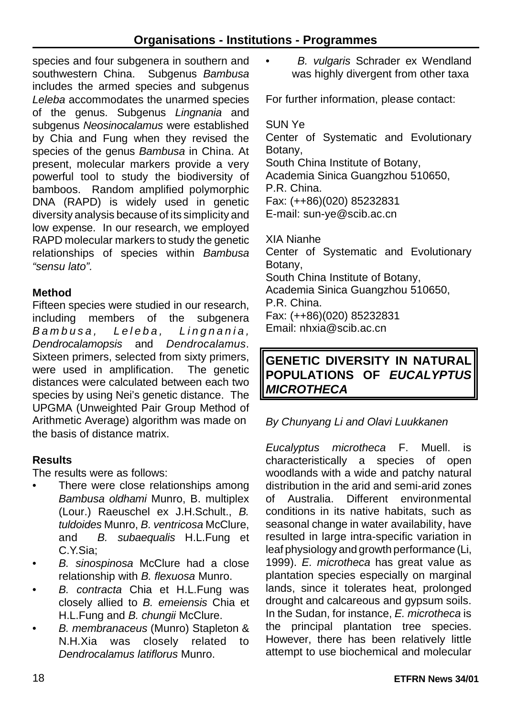species and four subgenera in southern and southwestern China. Subgenus *Bambusa* includes the armed species and subgenus *Leleba* accommodates the unarmed species of the genus. Subgenus *Lingnania* and subgenus *Neosinocalamus* were established by Chia and Fung when they revised the species of the genus *Bambusa* in China. At present, molecular markers provide a very powerful tool to study the biodiversity of bamboos. Random amplified polymorphic DNA (RAPD) is widely used in genetic diversity analysis because of its simplicity and low expense. In our research, we employed RAPD molecular markers to study the genetic relationships of species within *Bambusa "sensu lato".*

#### **Method**

Fifteen species were studied in our research, including members of the subgenera *Bambusa, Leleba, Lingnania , Dendrocalamopsis* and *Dendrocalamus*. Sixteen primers, selected from sixty primers, were used in amplification. The genetic distances were calculated between each two species by using Nei's genetic distance. The UPGMA (Unweighted Pair Group Method of Arithmetic Average) algorithm was made on the basis of distance matrix.

#### **Results**

The results were as follows:

- There were close relationships among *Bambusa oldhami* Munro, B. multiplex (Lour.) Raeuschel ex J.H.Schult., *B. tuldoides* Munro, *B. ventricosa* McClure, and *B. subaequalis* H.L.Fung et C.Y.Sia;
- *B. sinospinosa* McClure had a close relationship with *B. flexuosa* Munro.
- *B. contracta* Chia et H.L.Fung was closely allied to *B. emeiensis* Chia et H.L.Fung and *B. chungii* McClure.
- *B. membranaceus* (Munro) Stapleton & N.H.Xia was closely related to *Dendrocalamus latiflorus* Munro.

• *B. vulgaris* Schrader ex Wendland was highly divergent from other taxa

For further information, please contact:

# SUN Ye

Center of Systematic and Evolutionary Botany, South China Institute of Botany, Academia Sinica Guangzhou 510650, P.R. China. Fax: (++86)(020) 85232831 E-mail: sun-ye@scib.ac.cn XIA Nianhe Center of Systematic and Evolutionary Botany,

South China Institute of Botany,

Academia Sinica Guangzhou 510650,

P.R. China.

Fax: (++86)(020) 85232831

Email: nhxia@scib.ac.cn

# **GENETIC DIVERSITY IN NATURAL POPULATIONS OF** *EUCALYPTUS MICROTHECA*

# *By Chunyang Li and Olavi Luukkanen*

*Eucalyptus microtheca* F. Muell. is characteristically a species of open woodlands with a wide and patchy natural distribution in the arid and semi-arid zones of Australia. Different environmental conditions in its native habitats, such as seasonal change in water availability, have resulted in large intra-specific variation in leaf physiology and growth performance (Li, 1999). *E. microtheca* has great value as plantation species especially on marginal lands, since it tolerates heat, prolonged drought and calcareous and gypsum soils. In the Sudan, for instance, *E. microtheca* is the principal plantation tree species. However, there has been relatively little attempt to use biochemical and molecular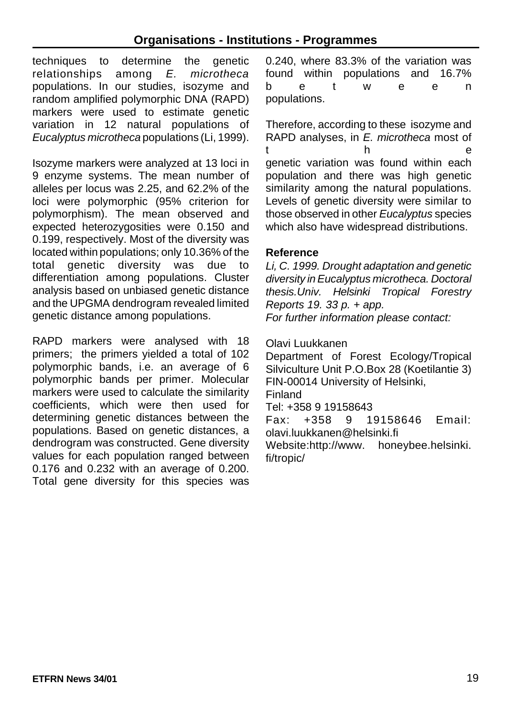techniques to determine the genetic relationships among *E. microtheca* populations. In our studies, isozyme and random amplified polymorphic DNA (RAPD) markers were used to estimate genetic variation in 12 natural populations of *Eucalyptus microtheca* populations (Li, 1999).

Isozyme markers were analyzed at 13 loci in 9 enzyme systems. The mean number of alleles per locus was 2.25, and 62.2% of the loci were polymorphic (95% criterion for polymorphism). The mean observed and expected heterozygosities were 0.150 and 0.199, respectively. Most of the diversity was located within populations; only 10.36% of the total genetic diversity was due to differentiation among populations. Cluster analysis based on unbiased genetic distance and the UPGMA dendrogram revealed limited genetic distance among populations.

RAPD markers were analysed with 18 primers; the primers yielded a total of 102 polymorphic bands, i.e. an average of 6 polymorphic bands per primer. Molecular markers were used to calculate the similarity coefficients, which were then used for determining genetic distances between the populations. Based on genetic distances, a dendrogram was constructed. Gene diversity values for each population ranged between 0.176 and 0.232 with an average of 0.200. Total gene diversity for this species was 0.240, where 83.3% of the variation was found within populations and 16.7% betwee n populations.

Therefore, according to these isozyme and RAPD analyses, in *E. microtheca* most of t h e genetic variation was found within each population and there was high genetic similarity among the natural populations. Levels of genetic diversity were similar to those observed in other *Eucalyptus* species which also have widespread distributions.

#### **Reference**

*Li, C. 1999. Drought adaptation and genetic diversity inEucalyptus microtheca. Doctoral thesis.Univ. Helsinki Tropical Forestry Reports 19. 33 p. + app. For further information please contact:*

#### Olavi Luukkanen

Department of Forest Ecology/Tropical Silviculture Unit P.O.Box 28 (Koetilantie 3) FIN-00014 University of Helsinki, Finland Tel: +358 9 19158643 Fax: +358 9 19158646 Email: olavi.luukkanen@helsinki.fi Website:http://www. honeybee.helsinki. fi/tropic/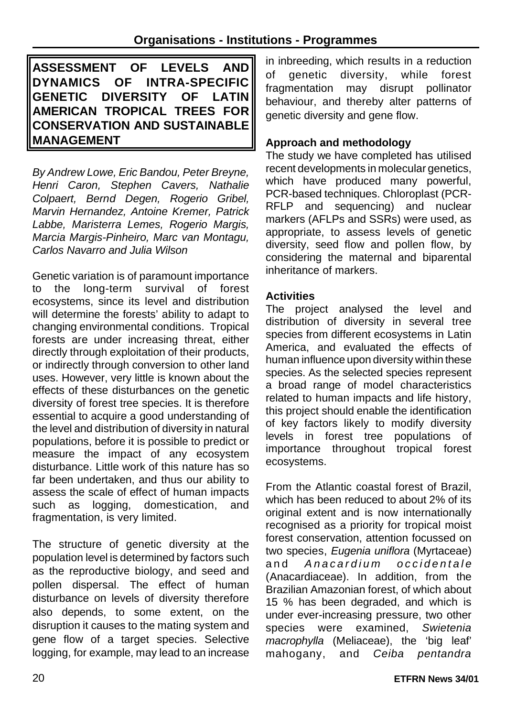**ASSESSMENT OF LEVELS AND DYNAMICS OF INTRA-SPECIFIC GENETIC DIVERSITY OF LATIN AMERICAN TROPICAL TREES FOR CONSERVATION AND SUSTAINABLE MANAGEMENT**

*By Andrew Lowe, Eric Bandou, Peter Breyne, Henri Caron, Stephen Cavers, Nathalie Colpaert, Bernd Degen, Rogerio Gribel, Marvin Hernandez, Antoine Kremer, Patrick Labbe, Maristerra Lemes, Rogerio Margis, Marcia Margis-Pinheiro, Marc van Montagu, Carlos Navarro and Julia Wilson*

Genetic variation is of paramount importance to the long-term survival of forest ecosystems, since its level and distribution will determine the forests' ability to adapt to changing environmental conditions. Tropical forests are under increasing threat, either directly through exploitation of their products, or indirectly through conversion to other land uses. However, very little is known about the effects of these disturbances on the genetic diversity of forest tree species. It is therefore essential to acquire a good understanding of the level and distribution of diversity in natural populations, before it is possible to predict or measure the impact of any ecosystem disturbance. Little work of this nature has so far been undertaken, and thus our ability to assess the scale of effect of human impacts such as logging, domestication, and fragmentation, is very limited.

The structure of genetic diversity at the population level is determined by factors such as the reproductive biology, and seed and pollen dispersal. The effect of human disturbance on levels of diversity therefore also depends, to some extent, on the disruption it causes to the mating system and gene flow of a target species. Selective logging, for example, may lead to an increase

in inbreeding, which results in a reduction of genetic diversity, while forest fragmentation may disrupt pollinator behaviour, and thereby alter patterns of genetic diversity and gene flow.

# **Approach and methodology**

The study we have completed has utilised recent developments in molecular genetics, which have produced many powerful, PCR-based techniques. Chloroplast (PCR-RFLP and sequencing) and nuclear markers (AFLPs and SSRs) were used, as appropriate, to assess levels of genetic diversity, seed flow and pollen flow, by considering the maternal and biparental inheritance of markers.

# **Activities**

The project analysed the level and distribution of diversity in several tree species from different ecosystems in Latin America, and evaluated the effects of human influence upon diversity within these species. As the selected species represent a broad range of model characteristics related to human impacts and life history, this project should enable the identification of key factors likely to modify diversity levels in forest tree populations of importance throughout tropical forest ecosystems.

From the Atlantic coastal forest of Brazil, which has been reduced to about 2% of its original extent and is now internationally recognised as a priority for tropical moist forest conservation, attention focussed on two species, *Eugenia uniflora* (Myrtaceae) and *Anacardium* occidentale (Anacardiaceae). In addition, from the Brazilian Amazonian forest, of which about 15 % has been degraded, and which is under ever-increasing pressure, two other species were examined, *Swietenia macrophylla* (Meliaceae), the 'big leaf' mahogany, and *Ceiba pentandra*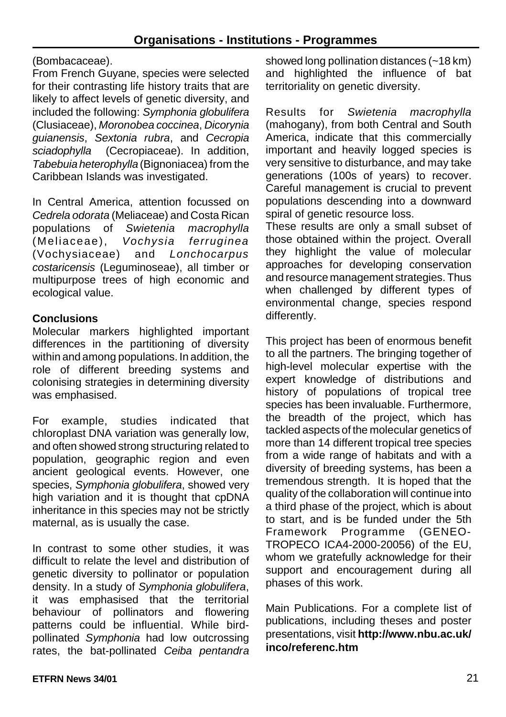#### (Bombacaceae).

From French Guyane, species were selected for their contrasting life history traits that are likely to affect levels of genetic diversity, and included the following: *Symphonia globulifera* (Clusiaceae), *Moronobea coccinea*, *Dicorynia guianensis*, *Sextonia rubra*, and *Cecropia sciadophylla* (Cecropiaceae). In addition, *Tabebuia heterophylla* (Bignoniacea) from the Caribbean Islands was investigated.

In Central America, attention focussed on *Cedrela odorata* (Meliaceae) and Costa Rican populations of *Swietenia macrophylla* (Meliaceae), *Vochysia ferruginea* (Vochysiaceae) and *Lonchocarpus costaricensis* (Leguminoseae), all timber or multipurpose trees of high economic and ecological value.

#### **Conclusions**

Molecular markers highlighted important differences in the partitioning of diversity within and among populations. In addition, the role of different breeding systems and colonising strategies in determining diversity was emphasised.

For example, studies indicated that chloroplast DNA variation was generally low, and often showed strong structuring related to population, geographic region and even ancient geological events. However, one species, *Symphonia globulifera*, showed very high variation and it is thought that cpDNA inheritance in this species may not be strictly maternal, as is usually the case.

In contrast to some other studies, it was difficult to relate the level and distribution of genetic diversity to pollinator or population density. In a study of *Symphonia globulifera*, it was emphasised that the territorial behaviour of pollinators and flowering patterns could be influential. While birdpollinated *Symphonia* had low outcrossing rates, the bat-pollinated *Ceiba pentandra* showed long pollination distances (~18 km) and highlighted the influence of bat territoriality on genetic diversity.

Results for *Swietenia macrophylla* (mahogany), from both Central and South America, indicate that this commercially important and heavily logged species is very sensitive to disturbance, and may take generations (100s of years) to recover. Careful management is crucial to prevent populations descending into a downward spiral of genetic resource loss.

These results are only a small subset of those obtained within the project. Overall they highlight the value of molecular approaches for developing conservation and resource management strategies. Thus when challenged by different types of environmental change, species respond differently.

This project has been of enormous benefit to all the partners. The bringing together of high-level molecular expertise with the expert knowledge of distributions and history of populations of tropical tree species has been invaluable. Furthermore, the breadth of the project, which has tackled aspects of the molecular genetics of more than 14 different tropical tree species from a wide range of habitats and with a diversity of breeding systems, has been a tremendous strength. It is hoped that the quality of the collaboration will continue into a third phase of the project, which is about to start, and is be funded under the 5th Framework Programme (GENEO-TROPECO ICA4-2000-20056) of the EU, whom we gratefully acknowledge for their support and encouragement during all phases of this work.

Main Publications. For a complete list of publications, including theses and poster presentations, visit **http://www.nbu.ac.uk/ inco/referenc.htm**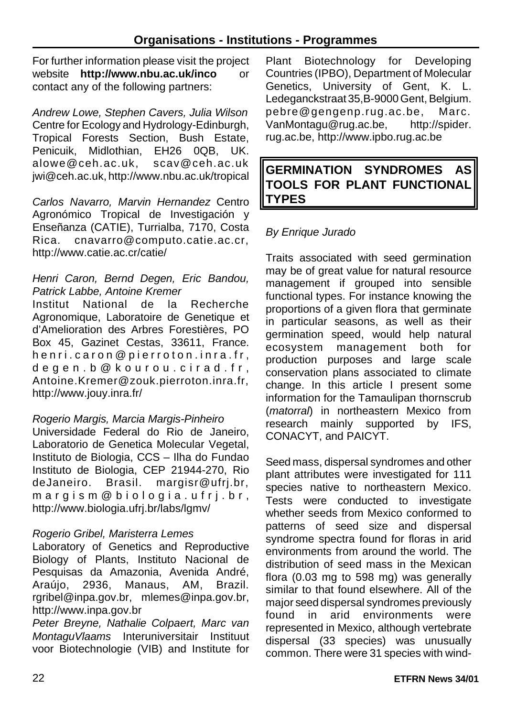For further information please visit the project website **http://www.nbu.ac.uk/inco** or contact any of the following partners:

*Andrew Lowe, Stephen Cavers, Julia Wilson* Centre for Ecology and Hydrology-Edinburgh, Tropical Forests Section, Bush Estate, Penicuik, Midlothian, EH26 0QB, UK. alowe@ceh.ac.uk, scav@ceh.ac.uk jwi@ceh.ac.uk, http://www.nbu.ac.uk/tropical

*Carlos Navarro, Marvin Hernandez* Centro Agronómico Tropical de Investigación y Enseñanza (CATIE), Turrialba, 7170, Costa Rica. cnavarro@computo.catie.ac.cr, http://www.catie.ac.cr/catie/

#### *Henri Caron, Bernd Degen, Eric Bandou, Patrick Labbe, Antoine Kremer*

Institut National de la Recherche Agronomique, Laboratoire de Genetique et d'Amelioration des Arbres Forestières, PO Box 45, Gazinet Cestas, 33611, France. henri.caron@pierroton.inra.fr , degen.b@kourou.cirad.fr , Antoine.Kremer@zouk.pierroton.inra.fr, http://www.jouy.inra.fr/

#### *Rogerio Margis, Marcia Margis-Pinheiro*

Universidade Federal do Rio de Janeiro, Laboratorio de Genetica Molecular Vegetal. Instituto de Biologia, CCS – Ilha do Fundao Instituto de Biologia, CEP 21944-270, Rio deJaneiro. Brasil. margisr@ufrj.br, margism@biologia.ufrj.br , http://www.biologia.ufrj.br/labs/lgmv/

#### *Rogerio Gribel, Maristerra Lemes*

Laboratory of Genetics and Reproductive Biology of Plants, Instituto Nacional de Pesquisas da Amazonia, Avenida André, Araújo, 2936, Manaus, AM, Brazil. rgribel@inpa.gov.br, mlemes@inpa.gov.br, http://www.inpa.gov.br

*Peter Breyne, Nathalie Colpaert, Marc van MontaguVlaams* Interuniversitair Instituut voor Biotechnologie (VIB) and Institute for

Plant Biotechnology for Developing Countries (IPBO), Department of Molecular Genetics, University of Gent, K. L. Ledeganckstraat 35, B-9000 Gent, Belgium. pebre@gengenp.rug.ac.be, Marc. VanMontagu@rug.ac.be, http://spider. rug.ac.be, http://www.ipbo.rug.ac.be

# **GERMINATION SYNDROMES AS TOOLS FOR PLANT FUNCTIONAL TYPES**

#### *By Enrique Jurado*

Traits associated with seed germination may be of great value for natural resource management if grouped into sensible functional types. For instance knowing the proportions of a given flora that germinate in particular seasons, as well as their germination speed, would help natural ecosystem management both for production purposes and large scale conservation plans associated to climate change. In this article I present some information for the Tamaulipan thornscrub (*matorral*) in northeastern Mexico from research mainly supported by IFS, CONACYT, and PAICYT.

Seed mass, dispersal syndromes and other plant attributes were investigated for 111 species native to northeastern Mexico. Tests were conducted to investigate whether seeds from Mexico conformed to patterns of seed size and dispersal syndrome spectra found for floras in arid environments from around the world. The distribution of seed mass in the Mexican flora (0.03 mg to 598 mg) was generally similar to that found elsewhere. All of the major seed dispersal syndromes previously found in arid environments were represented in Mexico, although vertebrate dispersal (33 species) was unusually common. There were 31 species with wind-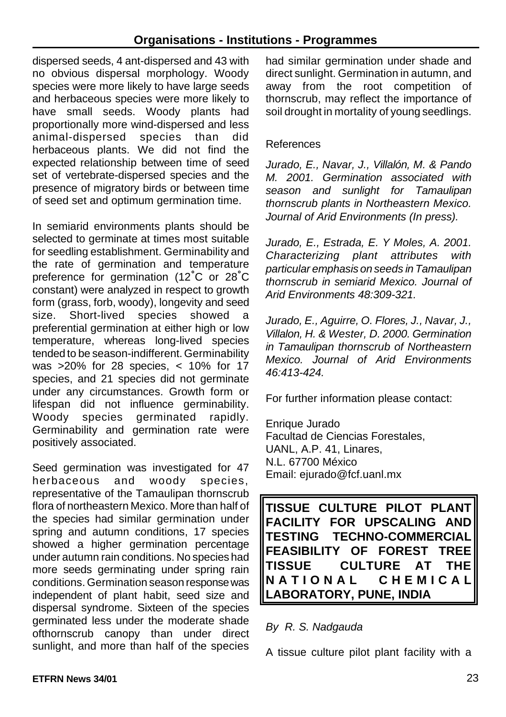dispersed seeds, 4 ant-dispersed and 43 with no obvious dispersal morphology. Woody species were more likely to have large seeds and herbaceous species were more likely to have small seeds. Woody plants had proportionally more wind-dispersed and less animal-dispersed species than did herbaceous plants. We did not find the expected relationship between time of seed set of vertebrate-dispersed species and the presence of migratory birds or between time of seed set and optimum germination time.

In semiarid environments plants should be selected to germinate at times most suitable for seedling establishment. Germinability and the rate of germination and temperature preference for germination (12°C or 28°C constant) were analyzed in respect to growth form (grass, forb, woody), longevity and seed size. Short-lived species showed a preferential germination at either high or low temperature, whereas long-lived species tended to be season-indifferent. Germinability was >20% for 28 species, < 10% for 17 species, and 21 species did not germinate under any circumstances. Growth form or lifespan did not influence germinability. Woody species germinated rapidly. Germinability and germination rate were positively associated.

Seed germination was investigated for 47 herbaceous and woody species, representative of the Tamaulipan thornscrub flora of northeastern Mexico. More than half of the species had similar germination under spring and autumn conditions, 17 species showed a higher germination percentage under autumn rain conditions. No species had more seeds germinating under spring rain conditions. Germination season response was independent of plant habit, seed size and dispersal syndrome. Sixteen of the species germinated less under the moderate shade ofthornscrub canopy than under direct sunlight, and more than half of the species

had similar germination under shade and direct sunlight. Germination in autumn, and away from the root competition of thornscrub, may reflect the importance of soil drought in mortality of young seedlings.

#### References

*Jurado, E., Navar, J., Villalón, M. & Pando M. 2001. Germination associated with season and sunlight for Tamaulipan thornscrub plants in Northeastern Mexico. Journal of Arid Environments (In press).*

*Jurado, E., Estrada, E. Y Moles, A. 2001. Characterizing plant attributes with particular emphasis on seeds in Tamaulipan thornscrub in semiarid Mexico. Journal of Arid Environments 48:309-321.*

*Jurado, E., Aguirre, O. Flores, J., Navar, J., Villalon, H. & Wester, D. 2000. Germination in Tamaulipan thornscrub of Northeastern Mexico. Journal of Arid Environments 46:413-424.*

For further information please contact:

Enrique Jurado Facultad de Ciencias Forestales, UANL, A.P. 41, Linares, N.L. 67700 México Email: ejurado@fcf.uanl.mx

**TISSUE CULTURE PILOT PLANT FACILITY FOR UPSCALING AND TESTING TECHNO-COMMERCIAL FEASIBILITY OF FOREST TREE TISSUE CULTURE AT THE NATIONAL CHEMICA L LABORATORY, PUNE, INDIA**

*By R. S. Nadgauda*

A tissue culture pilot plant facility with a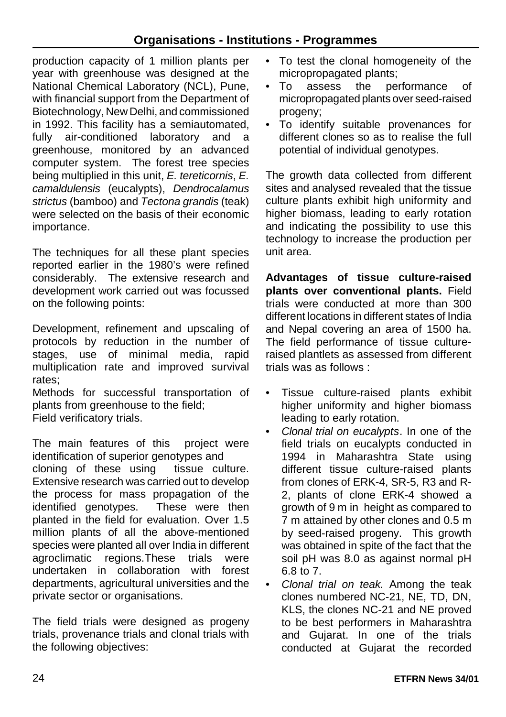production capacity of 1 million plants per year with greenhouse was designed at the National Chemical Laboratory (NCL), Pune, with financial support from the Department of Biotechnology, New Delhi, and commissioned in 1992. This facility has a semiautomated, fully air-conditioned laboratory and a greenhouse, monitored by an advanced computer system. The forest tree species being multiplied in this unit, *E. tereticornis*, *E. camaldulensis* (eucalypts), *Dendrocalamus strictus* (bamboo) and *Tectona grandis* (teak) were selected on the basis of their economic importance.

The techniques for all these plant species reported earlier in the 1980's were refined considerably. The extensive research and development work carried out was focussed on the following points:

Development, refinement and upscaling of protocols by reduction in the number of stages, use of minimal media, rapid multiplication rate and improved survival rates;

Methods for successful transportation of plants from greenhouse to the field; Field verificatory trials.

The main features of this project were identification of superior genotypes and cloning of these using tissue culture. Extensive research was carried out to develop the process for mass propagation of the identified genotypes. These were then planted in the field for evaluation. Over 1.5 million plants of all the above-mentioned species were planted all over India in different agroclimatic regions.These trials were undertaken in collaboration with forest departments, agricultural universities and the private sector or organisations.

The field trials were designed as progeny trials, provenance trials and clonal trials with the following objectives:

- To test the clonal homogeneity of the micropropagated plants;
- To assess the performance of micropropagated plants over seed-raised progeny;
- To identify suitable provenances for different clones so as to realise the full potential of individual genotypes.

The growth data collected from different sites and analysed revealed that the tissue culture plants exhibit high uniformity and higher biomass, leading to early rotation and indicating the possibility to use this technology to increase the production per unit area.

**Advantages of tissue culture-raised plants over conventional plants.** Field trials were conducted at more than 300 different locations in different states of India and Nepal covering an area of 1500 ha. The field performance of tissue cultureraised plantlets as assessed from different trials was as follows :

- Tissue culture-raised plants exhibit higher uniformity and higher biomass leading to early rotation.
- *Clonal trial on eucalypts*. In one of the field trials on eucalypts conducted in 1994 in Maharashtra State using different tissue culture-raised plants from clones of ERK-4, SR-5, R3 and R-2, plants of clone ERK-4 showed a growth of 9 m in height as compared to 7 m attained by other clones and 0.5 m by seed-raised progeny. This growth was obtained in spite of the fact that the soil pH was 8.0 as against normal pH 6.8 to 7.
- *Clonal trial on teak.* Among the teak clones numbered NC-21, NE, TD, DN, KLS, the clones NC-21 and NE proved to be best performers in Maharashtra and Gujarat. In one of the trials conducted at Gujarat the recorded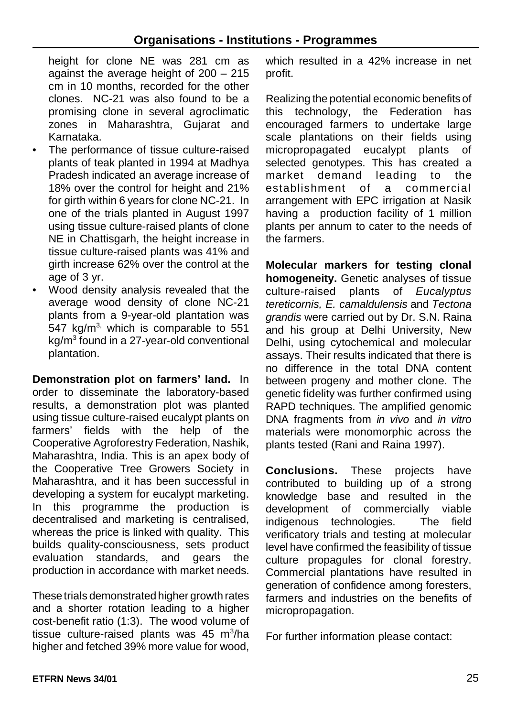height for clone NE was 281 cm as against the average height of 200 – 215 cm in 10 months, recorded for the other clones. NC-21 was also found to be a promising clone in several agroclimatic zones in Maharashtra, Gujarat and Karnataka.

- The performance of tissue culture-raised plants of teak planted in 1994 at Madhya Pradesh indicated an average increase of 18% over the control for height and 21% for girth within 6 years for clone NC-21. In one of the trials planted in August 1997 using tissue culture-raised plants of clone NE in Chattisgarh, the height increase in tissue culture-raised plants was 41% and girth increase 62% over the control at the age of 3 yr.
- Wood density analysis revealed that the average wood density of clone NC-21 plants from a 9-year-old plantation was  $547$  kg/m<sup>3,</sup> which is comparable to 551 kg/m<sup>3</sup> found in a 27-year-old conventional plantation.

**Demonstration plot on farmers' land.** In order to disseminate the laboratory-based results, a demonstration plot was planted using tissue culture-raised eucalypt plants on farmers' fields with the help of the Cooperative Agroforestry Federation, Nashik, Maharashtra, India. This is an apex body of the Cooperative Tree Growers Society in Maharashtra, and it has been successful in developing a system for eucalypt marketing. In this programme the production is decentralised and marketing is centralised, whereas the price is linked with quality. This builds quality-consciousness, sets product evaluation standards, and gears the production in accordance with market needs.

These trials demonstrated higher growth rates and a shorter rotation leading to a higher cost-benefit ratio (1:3). The wood volume of tissue culture-raised plants was 45 m<sup>3</sup>/ha higher and fetched 39% more value for wood, which resulted in a 42% increase in net profit.

Realizing the potential economic benefits of this technology, the Federation has encouraged farmers to undertake large scale plantations on their fields using micropropagated eucalypt plants of selected genotypes. This has created a market demand leading to the establishment of a commercial arrangement with EPC irrigation at Nasik having a production facility of 1 million plants per annum to cater to the needs of the farmers.

**Molecular markers for testing clonal homogeneity.** Genetic analyses of tissue culture-raised plants of *Eucalyptus tereticornis, E. camaldulensis* and *Tectona grandis* were carried out by Dr. S.N. Raina and his group at Delhi University, New Delhi, using cytochemical and molecular assays. Their results indicated that there is no difference in the total DNA content between progeny and mother clone. The genetic fidelity was further confirmed using RAPD techniques. The amplified genomic DNA fragments from *in vivo* and *in vitro* materials were monomorphic across the plants tested (Rani and Raina 1997).

**Conclusions.** These projects have contributed to building up of a strong knowledge base and resulted in the development of commercially viable indigenous technologies. The field verificatory trials and testing at molecular level have confirmed the feasibility of tissue culture propagules for clonal forestry. Commercial plantations have resulted in generation of confidence among foresters, farmers and industries on the benefits of micropropagation.

For further information please contact: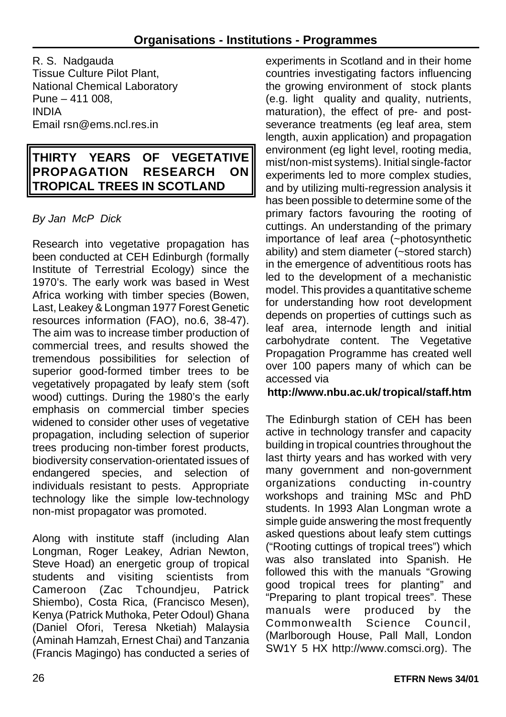R. S. Nadgauda Tissue Culture Pilot Plant, National Chemical Laboratory Pune – 411 008, INDIA Email rsn@ems.ncl.res.in

# **THIRTY YEARS OF VEGETATIVE PROPAGATION RESEARCH ON TROPICAL TREES IN SCOTLAND**

# *By Jan McP Dick*

Research into vegetative propagation has been conducted at CEH Edinburgh (formally Institute of Terrestrial Ecology) since the 1970's. The early work was based in West Africa working with timber species (Bowen, Last, Leakey & Longman 1977 Forest Genetic resources information (FAO), no.6, 38-47). The aim was to increase timber production of commercial trees, and results showed the tremendous possibilities for selection of superior good-formed timber trees to be vegetatively propagated by leafy stem (soft wood) cuttings. During the 1980's the early emphasis on commercial timber species widened to consider other uses of vegetative propagation, including selection of superior trees producing non-timber forest products, biodiversity conservation-orientated issues of endangered species, and selection of individuals resistant to pests. Appropriate technology like the simple low-technology non-mist propagator was promoted.

Along with institute staff (including Alan Longman, Roger Leakey, Adrian Newton, Steve Hoad) an energetic group of tropical students and visiting scientists from Cameroon (Zac Tchoundjeu, Patrick Shiembo), Costa Rica, (Francisco Mesen), Kenya (Patrick Muthoka, Peter Odoul) Ghana (Daniel Ofori, Teresa Nketiah) Malaysia (Aminah Hamzah, Ernest Chai) and Tanzania (Francis Magingo) has conducted a series of experiments in Scotland and in their home countries investigating factors influencing the growing environment of stock plants (e.g. light quality and quality, nutrients, maturation), the effect of pre- and postseverance treatments (eg leaf area, stem length, auxin application) and propagation environment (eg light level, rooting media, mist/non-mist systems). Initial single-factor experiments led to more complex studies, and by utilizing multi-regression analysis it has been possible to determine some of the primary factors favouring the rooting of cuttings. An understanding of the primary importance of leaf area (~photosynthetic ability) and stem diameter (~stored starch) in the emergence of adventitious roots has led to the development of a mechanistic model. This provides a quantitative scheme for understanding how root development depends on properties of cuttings such as leaf area, internode length and initial carbohydrate content. The Vegetative Propagation Programme has created well over 100 papers many of which can be accessed via

# **http://www.nbu.ac.uk/tropical/staff.htm**

The Edinburgh station of CEH has been active in technology transfer and capacity building in tropical countries throughout the last thirty years and has worked with very many government and non-government organizations conducting in-country workshops and training MSc and PhD students. In 1993 Alan Longman wrote a simple guide answering the most frequently asked questions about leafy stem cuttings ("Rooting cuttings of tropical trees") which was also translated into Spanish. He followed this with the manuals "Growing good tropical trees for planting" and "Preparing to plant tropical trees". These manuals were produced by the Commonwealth Science Council, (Marlborough House, Pall Mall, London SW1Y 5 HX http://www.comsci.org). The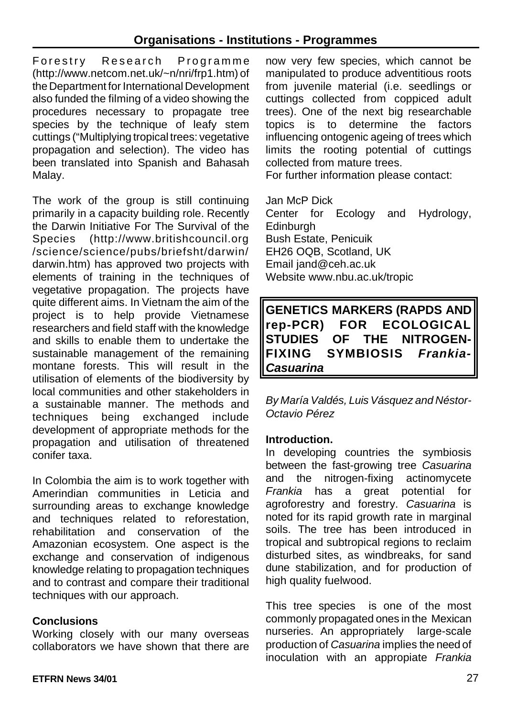Forestry Research Programm e (http://www.netcom.net.uk/~n/nri/frp1.htm) of the Department for International Development also funded the filming of a video showing the procedures necessary to propagate tree species by the technique of leafy stem cuttings ("Multiplying tropical trees: vegetative propagation and selection). The video has been translated into Spanish and Bahasah Malay.

The work of the group is still continuing primarily in a capacity building role. Recently the Darwin Initiative For The Survival of the Species (http://www.britishcouncil.org /science/science/pubs/briefsht/darwin/ darwin.htm) has approved two projects with elements of training in the techniques of vegetative propagation. The projects have quite different aims. In Vietnam the aim of the project is to help provide Vietnamese researchers and field staff with the knowledge and skills to enable them to undertake the sustainable management of the remaining montane forests. This will result in the utilisation of elements of the biodiversity by local communities and other stakeholders in a sustainable manner. The methods and techniques being exchanged include development of appropriate methods for the propagation and utilisation of threatened conifer taxa.

In Colombia the aim is to work together with Amerindian communities in Leticia and surrounding areas to exchange knowledge and techniques related to reforestation, rehabilitation and conservation of the Amazonian ecosystem. One aspect is the exchange and conservation of indigenous knowledge relating to propagation techniques and to contrast and compare their traditional techniques with our approach.

#### **Conclusions**

Working closely with our many overseas collaborators we have shown that there are now very few species, which cannot be manipulated to produce adventitious roots from juvenile material (i.e. seedlings or cuttings collected from coppiced adult trees). One of the next big researchable topics is to determine the factors influencing ontogenic ageing of trees which limits the rooting potential of cuttings collected from mature trees.

For further information please contact:

Jan McP Dick Center for Ecology and Hydrology, Edinburgh Bush Estate, Penicuik EH26 OQB, Scotland, UK Email jand@ceh.ac.uk Website www.nbu.ac.uk/tropic

**GENETICS MARKERS (RAPDS AND rep-PCR) FOR ECOLOGICAL STUDIES OF THE NITROGEN-FIXING SYMBIOSIS** *Frankia-Casuarina*

*By María Valdés, Luis Vásquez and Néstor-Octavio Pérez*

#### **Introduction.**

In developing countries the symbiosis between the fast-growing tree *Casuarina* and the nitrogen-fixing actinomycete *Frankia* has a great potential for agroforestry and forestry. *Casuarina* is noted for its rapid growth rate in marginal soils. The tree has been introduced in tropical and subtropical regions to reclaim disturbed sites, as windbreaks, for sand dune stabilization, and for production of high quality fuelwood.

This tree species is one of the most commonly propagated ones in the Mexican nurseries. An appropriately large-scale production of *Casuarina* implies the need of inoculation with an appropiate *Frankia*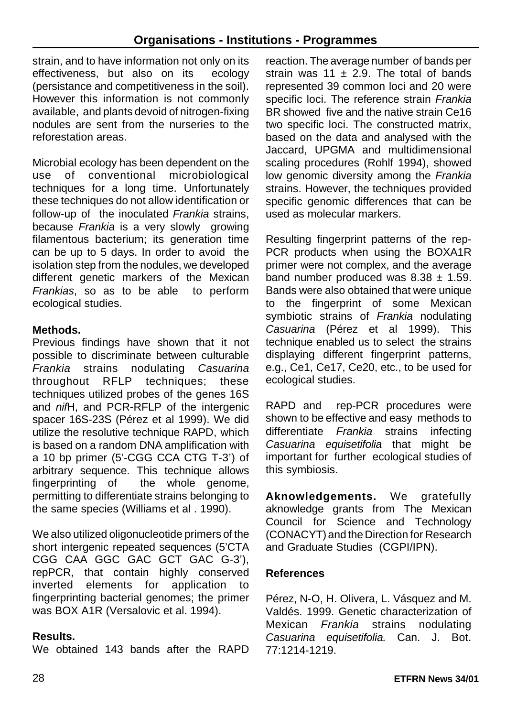strain, and to have information not only on its effectiveness, but also on its ecology (persistance and competitiveness in the soil). However this information is not commonly available, and plants devoid of nitrogen-fixing nodules are sent from the nurseries to the reforestation areas.

Microbial ecology has been dependent on the use of conventional microbiological techniques for a long time. Unfortunately these techniques do not allow identification or follow-up of the inoculated *Frankia* strains, because *Frankia* is a very slowly growing filamentous bacterium; its generation time can be up to 5 days. In order to avoid the isolation step from the nodules, we developed different genetic markers of the Mexican *Frankias*, so as to be able to perform ecological studies.

# **Methods.**

Previous findings have shown that it not possible to discriminate between culturable *Frankia* strains nodulating *Casuarina* throughout RFLP techniques; these techniques utilized probes of the genes 16S and *nif*H, and PCR-RFLP of the intergenic spacer 16S-23S (Pérez et al 1999). We did utilize the resolutive technique RAPD, which is based on a random DNA amplification with a 10 bp primer (5'-CGG CCA CTG T-3') of arbitrary sequence. This technique allows fingerprinting of the whole genome, permitting to differentiate strains belonging to the same species (Williams et al . 1990).

We also utilized oligonucleotide primers of the short intergenic repeated sequences (5'CTA CGG CAA GGC GAC GCT GAC G-3'), repPCR, that contain highly conserved<br>inverted elements for application to inverted elements for application to fingerprinting bacterial genomes; the primer was BOX A1R (Versalovic et al. 1994).

# **Results.**

We obtained 143 bands after the RAPD

reaction. The average number of bands per strain was 11  $\pm$  2.9. The total of bands represented 39 common loci and 20 were specific loci. The reference strain *Frankia* BR showed five and the native strain Ce16 two specific loci. The constructed matrix, based on the data and analysed with the Jaccard, UPGMA and multidimensional scaling procedures (Rohlf 1994), showed low genomic diversity among the *Frankia* strains. However, the techniques provided specific genomic differences that can be used as molecular markers.

Resulting fingerprint patterns of the rep-PCR products when using the BOXA1R primer were not complex, and the average band number produced was  $8.38 \pm 1.59$ . Bands were also obtained that were unique to the fingerprint of some Mexican symbiotic strains of *Frankia* nodulating *Casuarina* (Pérez et al 1999). This technique enabled us to select the strains displaying different fingerprint patterns, e.g., Ce1, Ce17, Ce20, etc., to be used for ecological studies.

RAPD and rep-PCR procedures were shown to be effective and easy methods to differentiate *Frankia* strains infecting *Casuarina equisetifolia* that might be important for further ecological studies of this symbiosis.

**Aknowledgements.** We gratefully aknowledge grants from The Mexican Council for Science and Technology (CONACYT) and the Direction for Research and Graduate Studies (CGPI/IPN).

# **References**

Pérez, N-O, H. Olivera, L. Vásquez and M. Valdés. 1999. Genetic characterization of Mexican *Frankia* strains nodulating *Casuarina equisetifolia.* Can. J. Bot. 77:1214-1219.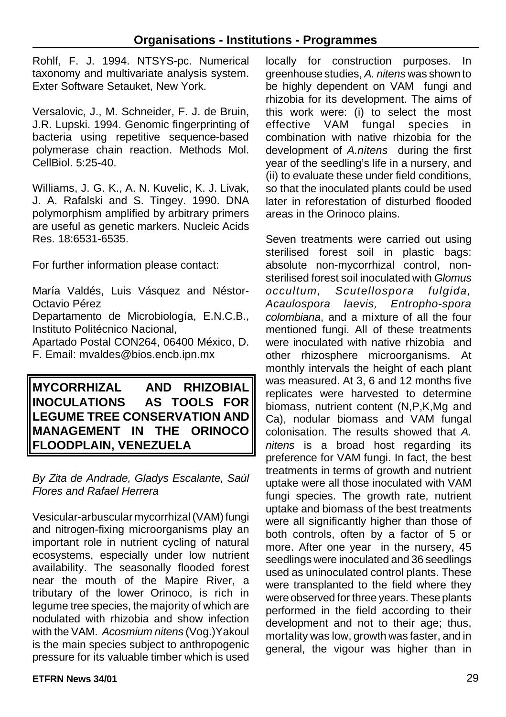Rohlf, F. J. 1994. NTSYS-pc. Numerical taxonomy and multivariate analysis system. Exter Software Setauket, New York.

Versalovic, J., M. Schneider, F. J. de Bruin, J.R. Lupski. 1994. Genomic fingerprinting of bacteria using repetitive sequence-based polymerase chain reaction. Methods Mol. CellBiol. 5:25-40.

Williams, J. G. K., A. N. Kuvelic, K. J. Livak, J. A. Rafalski and S. Tingey. 1990. DNA polymorphism amplified by arbitrary primers are useful as genetic markers. Nucleic Acids Res. 18:6531-6535.

For further information please contact:

María Valdés, Luis Vásquez and Néstor-Octavio Pérez

Departamento de Microbiología, E.N.C.B., Instituto Politécnico Nacional,

Apartado Postal CON264, 06400 México, D. F. Email: mvaldes@bios.encb.ipn.mx

**MYCORRHIZAL AND RHIZOBIAL INOCULATIONS AS TOOLS FOR LEGUME TREE CONSERVATION AND MANAGEMENT IN THE ORINOCO FLOODPLAIN, VENEZUELA**

*By Zita de Andrade, Gladys Escalante, Saúl Flores and Rafael Herrera*

Vesicular-arbuscular mycorrhizal (VAM) fungi and nitrogen-fixing microorganisms play an important role in nutrient cycling of natural ecosystems, especially under low nutrient availability. The seasonally flooded forest near the mouth of the Mapire River, a tributary of the lower Orinoco, is rich in legume tree species, the majority of which are nodulated with rhizobia and show infection with the VAM. *Acosmium nitens* (Vog.)Yakoul is the main species subject to anthropogenic pressure for its valuable timber which is used

locally for construction purposes. In greenhouse studies, *A. nitens* was shown to be highly dependent on VAM fungi and rhizobia for its development. The aims of this work were: (i) to select the most effective VAM fungal species in combination with native rhizobia for the development of *A.nitens* during the first year of the seedling's life in a nursery, and (ii) to evaluate these under field conditions, so that the inoculated plants could be used later in reforestation of disturbed flooded areas in the Orinoco plains.

Seven treatments were carried out using sterilised forest soil in plastic bags: absolute non-mycorrhizal control, nonsterilised forest soil inoculated with *Glomus occultum, Scutellospora fulgida, Acaulospora laevis, Entropho-spora colombiana*, and a mixture of all the four mentioned fungi. All of these treatments were inoculated with native rhizobia and other rhizosphere microorganisms. At monthly intervals the height of each plant was measured. At 3, 6 and 12 months five replicates were harvested to determine biomass, nutrient content (N,P,K,Mg and Ca), nodular biomass and VAM fungal colonisation. The results showed that *A. nitens* is a broad host regarding its preference for VAM fungi. In fact, the best treatments in terms of growth and nutrient uptake were all those inoculated with VAM fungi species. The growth rate, nutrient uptake and biomass of the best treatments were all significantly higher than those of both controls, often by a factor of 5 or more. After one year in the nursery, 45 seedlings were inoculated and 36 seedlings used as uninoculated control plants. These were transplanted to the field where they were observed for three years. These plants performed in the field according to their development and not to their age; thus, mortality was low, growth was faster, and in general, the vigour was higher than in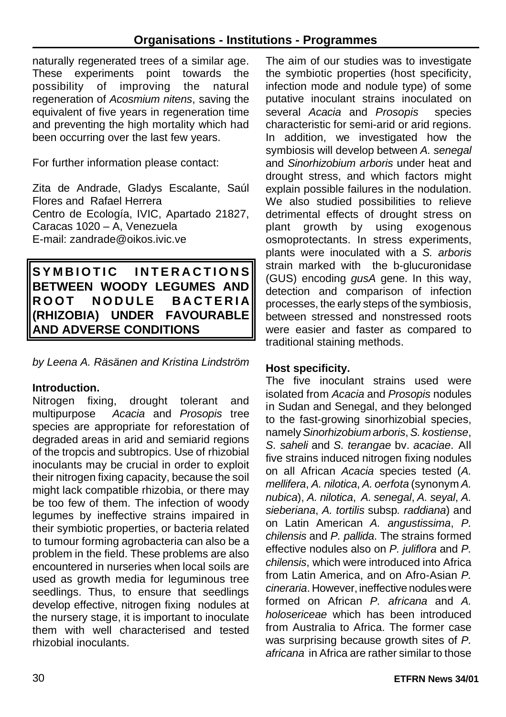naturally regenerated trees of a similar age. These experiments point towards the possibility of improving the natural regeneration of *Acosmium nitens*, saving the equivalent of five years in regeneration time and preventing the high mortality which had been occurring over the last few years.

For further information please contact:

Zita de Andrade, Gladys Escalante, Saúl Flores and Rafael Herrera Centro de Ecología, IVIC, Apartado 21827, Caracas 1020 – A, Venezuela E-mail: zandrade@oikos.ivic.ve

**SYMBIOTIC INTERACTION S BETWEEN WOODY LEGUMES AND ROOT NODULE BACTERIA (RHIZOBIA) UNDER FAVOURABLE AND ADVERSE CONDITIONS** 

*by Leena A. Räsänen and Kristina Lindström*

#### **Introduction.**

Nitrogen fixing, drought tolerant and multipurpose *Acacia* and *Prosopis* tree species are appropriate for reforestation of degraded areas in arid and semiarid regions of the tropcis and subtropics. Use of rhizobial inoculants may be crucial in order to exploit their nitrogen fixing capacity, because the soil might lack compatible rhizobia, or there may be too few of them. The infection of woody legumes by ineffective strains impaired in their symbiotic properties, or bacteria related to tumour forming agrobacteria can also be a problem in the field. These problems are also encountered in nurseries when local soils are used as growth media for leguminous tree seedlings. Thus, to ensure that seedlings develop effective, nitrogen fixing nodules at the nursery stage, it is important to inoculate them with well characterised and tested rhizobial inoculants.

The aim of our studies was to investigate the symbiotic properties (host specificity, infection mode and nodule type) of some putative inoculant strains inoculated on several *Acacia* and *Prosopis* species characteristic for semi-arid or arid regions. In addition, we investigated how the symbiosis will develop between *A. senegal* and *Sinorhizobium arboris* under heat and drought stress, and which factors might explain possible failures in the nodulation. We also studied possibilities to relieve detrimental effects of drought stress on plant growth by using exogenous osmoprotectants. In stress experiments, plants were inoculated with a *S. arboris* strain marked with the b-glucuronidase (GUS) encoding *gusA* gene. In this way, detection and comparison of infection processes, the early steps of the symbiosis, between stressed and nonstressed roots were easier and faster as compared to traditional staining methods.

#### **Host specificity.**

The five inoculant strains used were isolated from *Acacia* and *Prosopis* nodules in Sudan and Senegal, and they belonged to the fast-growing sinorhizobial species, namely*Sinorhizobium arboris*, *S. kostiense*, *S. saheli* and *S. terangae* bv. *acaciae.* All five strains induced nitrogen fixing nodules on all African *Acacia* species tested (*A. mellifera*, *A. nilotica*, *A. oerfota* (synonym *A. nubica*), *A. nilotica*, *A. senegal*, *A. seyal*, *A. sieberiana*, *A. tortilis* subsp*. raddiana*) and on Latin American *A. angustissima*, *P. chilensis* and *P. pallida*. The strains formed effective nodules also on *P. juliflora* and *P. chilensis*, which were introduced into Africa from Latin America, and on Afro-Asian *P. cineraria*. However, ineffective nodules were formed on African *P. africana* and *A. holosericeae* which has been introduced from Australia to Africa. The former case was surprising because growth sites of *P. africana* in Africa are rather similar to those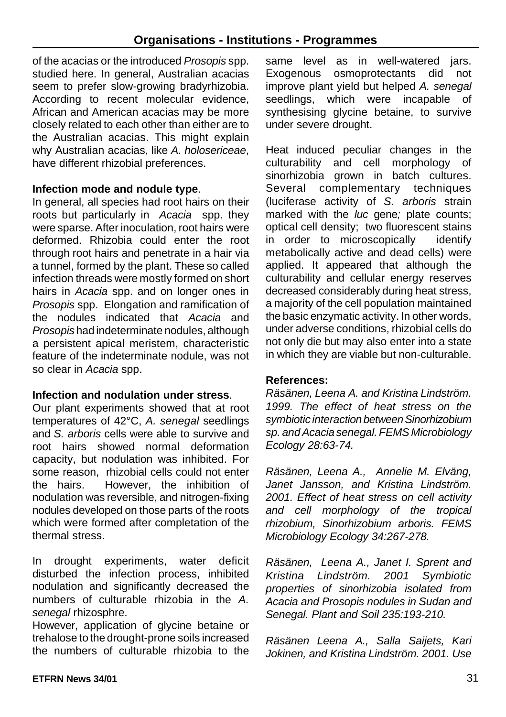of the acacias or the introduced *Prosopis* spp. studied here. In general, Australian acacias seem to prefer slow-growing bradyrhizobia. According to recent molecular evidence, African and American acacias may be more closely related to each other than either are to the Australian acacias. This might explain why Australian acacias, like *A. holosericeae*, have different rhizobial preferences.

#### **Infection mode and nodule type**.

In general, all species had root hairs on their roots but particularly in *Acacia* spp. they were sparse. After inoculation, root hairs were deformed. Rhizobia could enter the root through root hairs and penetrate in a hair via a tunnel, formed by the plant. These so called infection threads were mostly formed on short hairs in *Acacia* spp. and on longer ones in *Prosopis* spp. Elongation and ramification of the nodules indicated that *Acacia* and *Prosopis* had indeterminate nodules, although a persistent apical meristem, characteristic feature of the indeterminate nodule, was not so clear in *Acacia* spp.

#### **Infection and nodulation under stress**.

Our plant experiments showed that at root temperatures of 42°C, *A. senegal* seedlings and *S. arboris* cells were able to survive and root hairs showed normal deformation capacity, but nodulation was inhibited. For some reason, rhizobial cells could not enter the hairs. However, the inhibition of nodulation was reversible, and nitrogen-fixing nodules developed on those parts of the roots which were formed after completation of the thermal stress.

In drought experiments, water deficit disturbed the infection process, inhibited nodulation and significantly decreased the numbers of culturable rhizobia in the *A. senegal* rhizosphre.

However, application of glycine betaine or trehalose to the drought-prone soils increased the numbers of culturable rhizobia to the same level as in well-watered jars. Exogenous osmoprotectants did not improve plant yield but helped *A. senegal* seedlings, which were incapable of synthesising glycine betaine, to survive under severe drought.

Heat induced peculiar changes in the culturability and cell morphology of sinorhizobia grown in batch cultures. Several complementary techniques (luciferase activity of *S. arboris* strain marked with the *luc* gene*;* plate counts; optical cell density; two fluorescent stains in order to microscopically identify metabolically active and dead cells) were applied. It appeared that although the culturability and cellular energy reserves decreased considerably during heat stress, a majority of the cell population maintained the basic enzymatic activity. In other words, under adverse conditions, rhizobial cells do not only die but may also enter into a state in which they are viable but non-culturable.

# **References:**

*Räsänen, Leena A. and Kristina Lindström. 1999. The effect of heat stress on the symbiotic interaction between Sinorhizobium sp. andAcacia senegal.FEMS Microbiology Ecology 28:63-74.* 

*Räsänen, Leena A., Annelie M. Elväng, Janet Jansson, and Kristina Lindström. 2001. Effect of heat stress on cell activity and cell morphology of the tropical rhizobium, Sinorhizobium arboris. FEMS Microbiology Ecology 34:267-278.*

*Räsänen, Leena A., Janet I. Sprent and Kristina Lindström. 2001 Symbiotic properties of sinorhizobia isolated from Acacia and Prosopis nodules in Sudan and Senegal. Plant and Soil 235:193-210.*

*Räsänen Leena A., Salla Saijets, Kari Jokinen, and Kristina Lindström. 2001. Use*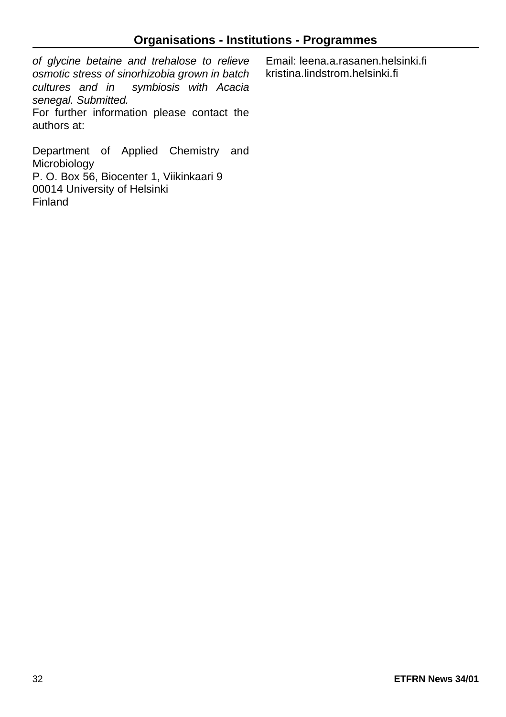*of glycine betaine and trehalose to relieve osmotic stress of sinorhizobia grown in batch cultures and in symbiosis with Acacia senegal. Submitted.* For further information please contact the

authors at:

Email: leena.a.rasanen.helsinki.fi kristina.lindstrom.helsinki.fi

Department of Applied Chemistry and Microbiology P. O. Box 56, Biocenter 1, Viikinkaari 9 00014 University of Helsinki Finland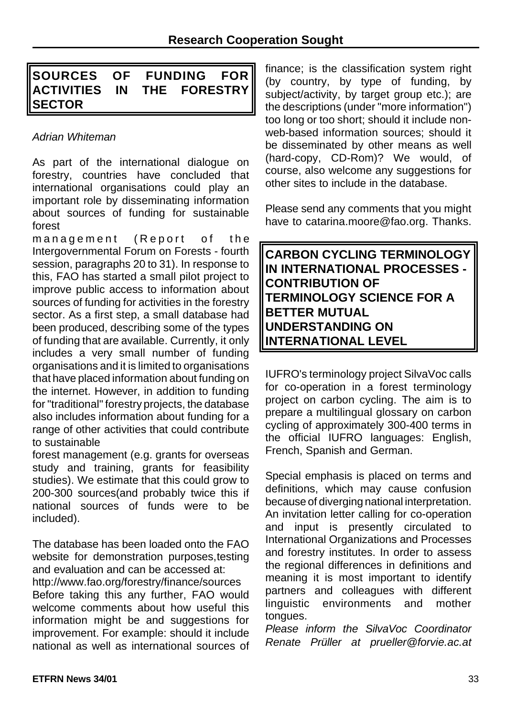# **SOURCES OF FUNDING FOR ACTIVITIES IN THE FORESTRY SECTOR**

#### *Adrian Whiteman*

As part of the international dialogue on forestry, countries have concluded that international organisations could play an important role by disseminating information about sources of funding for sustainable forest

management (Report of the Intergovernmental Forum on Forests - fourth session, paragraphs 20 to 31). In response to this, FAO has started a small pilot project to improve public access to information about sources of funding for activities in the forestry sector. As a first step, a small database had been produced, describing some of the types of funding that are available. Currently, it only includes a very small number of funding organisations and it is limited to organisations that have placed information about funding on the internet. However, in addition to funding for "traditional" forestry projects, the database also includes information about funding for a range of other activities that could contribute to sustainable

forest management (e.g. grants for overseas study and training, grants for feasibility studies). We estimate that this could grow to 200-300 sources(and probably twice this if national sources of funds were to be included).

The database has been loaded onto the FAO website for demonstration purposes,testing and evaluation and can be accessed at:

http://www.fao.org/forestry/finance/sources Before taking this any further, FAO would welcome comments about how useful this information might be and suggestions for improvement. For example: should it include national as well as international sources of finance; is the classification system right (by country, by type of funding, by subject/activity, by target group etc.); are the descriptions (under "more information") too long or too short; should it include nonweb-based information sources; should it be disseminated by other means as well (hard-copy, CD-Rom)? We would, of course, also welcome any suggestions for other sites to include in the database.

Please send any comments that you might have to catarina.moore@fao.org. Thanks.

**CARBON CYCLING TERMINOLOGY IN INTERNATIONAL PROCESSES - CONTRIBUTION OF TERMINOLOGY SCIENCE FOR A BETTER MUTUAL UNDERSTANDING ON INTERNATIONAL LEVEL**

IUFRO's terminology project SilvaVoc calls for co-operation in a forest terminology project on carbon cycling. The aim is to prepare a multilingual glossary on carbon cycling of approximately 300-400 terms in the official IUFRO languages: English, French, Spanish and German.

Special emphasis is placed on terms and definitions, which may cause confusion because of diverging national interpretation. An invitation letter calling for co-operation and input is presently circulated to International Organizations and Processes and forestry institutes. In order to assess the regional differences in definitions and meaning it is most important to identify partners and colleagues with different linguistic environments and mother tongues.

*Please inform the SilvaVoc Coordinator Renate Prüller at prueller@forvie.ac.at*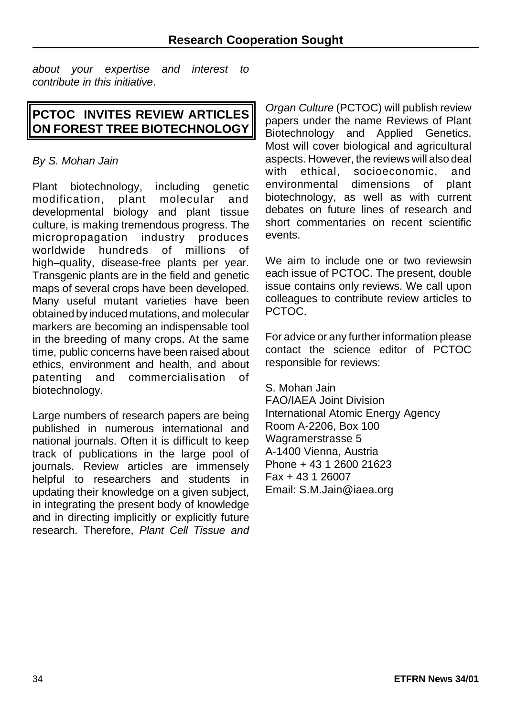*about your expertise and interest to contribute in this initiative*.

# **PCTOC INVITES REVIEW ARTICLES ON FOREST TREE BIOTECHNOLOGY**

#### *By S. Mohan Jain*

Plant biotechnology, including genetic modification, plant molecular and developmental biology and plant tissue culture, is making tremendous progress. The micropropagation industry produces worldwide hundreds of millions of high–quality, disease-free plants per year. Transgenic plants are in the field and genetic maps of several crops have been developed. Many useful mutant varieties have been obtained by induced mutations, and molecular markers are becoming an indispensable tool in the breeding of many crops. At the same time, public concerns have been raised about ethics, environment and health, and about patenting and commercialisation of biotechnology.

Large numbers of research papers are being published in numerous international and national journals. Often it is difficult to keep track of publications in the large pool of journals. Review articles are immensely helpful to researchers and students in updating their knowledge on a given subject, in integrating the present body of knowledge and in directing implicitly or explicitly future research. Therefore, *Plant Cell Tissue and*

*Organ Culture* (PCTOC) will publish review papers under the name Reviews of Plant Biotechnology and Applied Genetics. Most will cover biological and agricultural aspects. However, the reviews will also deal with ethical, socioeconomic, and environmental dimensions of plant biotechnology, as well as with current debates on future lines of research and short commentaries on recent scientific events.

We aim to include one or two reviewsin each issue of PCTOC. The present, double issue contains only reviews. We call upon colleagues to contribute review articles to PCTOC.

For advice or any further information please contact the science editor of PCTOC responsible for reviews:

S. Mohan Jain

FAO/IAEA Joint Division International Atomic Energy Agency Room A-2206, Box 100 Wagramerstrasse 5 A-1400 Vienna, Austria Phone + 43 1 2600 21623 Fax + 43 1 26007 Email: S.M.Jain@iaea.org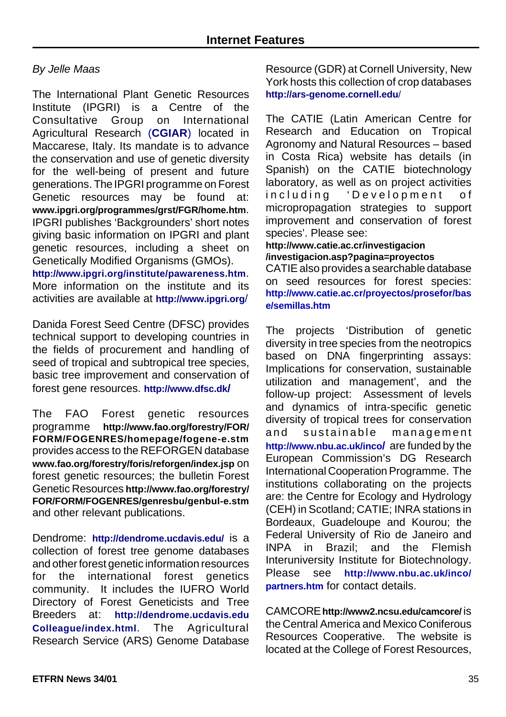#### *By Jelle Maas*

The International Plant Genetic Resources Institute (IPGRI) is a Centre of the Consultative Group on International Agricultural Research (**CGIAR**) located in Maccarese, Italy. Its mandate is to advance the conservation and use of genetic diversity for the well-being of present and future generations. The IPGRI programme on Forest Genetic resources may be found at: **www.ipgri.org/programmes/grst/FGR/home.htm**. IPGRI publishes 'Backgrounders' short notes giving basic information on IPGRI and plant genetic resources, including a sheet on Genetically Modified Organisms (GMOs).

**http://www.ipgri.org/institute/pawareness.htm**. More information on the institute and its activities are available at **http://www.ipgri.org**/

Danida Forest Seed Centre (DFSC) provides technical support to developing countries in the fields of procurement and handling of seed of tropical and subtropical tree species. basic tree improvement and conservation of forest gene resources. **http://www.dfsc.dk/**

The FAO Forest genetic resources programme **http://www.fao.org/forestry/FOR/ FORM/FOGENRES/homepage/fogene-e.stm** provides access to the REFORGEN database **www.fao.org/forestry/foris/reforgen/index.jsp** on forest genetic resources; the bulletin Forest Genetic Resources **http://www.fao.org/forestry/ FOR/FORM/FOGENRES/genresbu/genbul-e.stm** and other relevant publications.

Dendrome: **http://dendrome.ucdavis.edu/** is a collection of forest tree genome databases and other forest genetic information resources for the international forest genetics community. It includes the IUFRO World Directory of Forest Geneticists and Tree Breeders at: **http://dendrome.ucdavis.edu Colleague/index.html**. The Agricultural Research Service (ARS) Genome Database

Resource (GDR) at Cornell University, New York hosts this collection of crop databases **http://ars-genome.cornell.edu**/

The CATIE (Latin American Centre for Research and Education on Tropical Agronomy and Natural Resources – based in Costa Rica) website has details (in Spanish) on the CATIE biotechnology laboratory, as well as on project activities including 'Development of micropropagation strategies to support improvement and conservation of forest species'. Please see:

**http://www.catie.ac.cr/investigacion /investigacion.asp?pagina=proyectos**

CATIE also provides a searchable database on seed resources for forest species: **http://www.catie.ac.cr/proyectos/prosefor/bas e/semillas.htm**

The projects 'Distribution of genetic diversity in tree species from the neotropics based on DNA fingerprinting assays: Implications for conservation, sustainable utilization and management', and the follow-up project: Assessment of levels and dynamics of intra-specific genetic diversity of tropical trees for conservation and sustainable management **http://www.nbu.ac.uk/inco/** are funded by the European Commission's DG Research International Cooperation Programme. The institutions collaborating on the projects are: the Centre for Ecology and Hydrology (CEH) in Scotland; CATIE; INRA stations in Bordeaux, Guadeloupe and Kourou; the Federal University of Rio de Janeiro and INPA in Brazil; and the Flemish Interuniversity Institute for Biotechnology. Please see **http://www.nbu.ac.uk/inco/ partners.htm** for contact details.

CAMCORE **http://www2.ncsu.edu/camcore/** is the Central America and Mexico Coniferous Resources Cooperative. The website is located at the College of Forest Resources,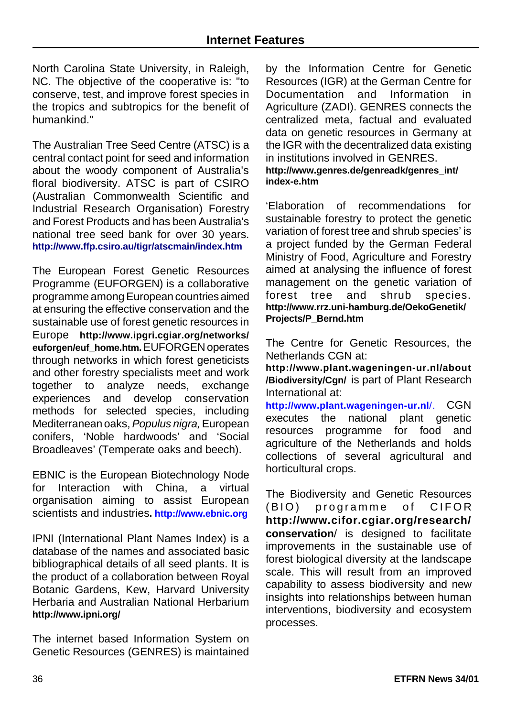North Carolina State University, in Raleigh, NC. The objective of the cooperative is: "to conserve, test, and improve forest species in the tropics and subtropics for the benefit of humankind."

The Australian Tree Seed Centre (ATSC) is a central contact point for seed and information about the woody component of Australia's floral biodiversity. ATSC is part of CSIRO (Australian Commonwealth Scientific and Industrial Research Organisation) Forestry and Forest Products and has been Australia's national tree seed bank for over 30 years. **http://www.ffp.csiro.au/tigr/atscmain/index.htm**

The European Forest Genetic Resources Programme (EUFORGEN) is a collaborative programme among European countries aimed at ensuring the effective conservation and the sustainable use of forest genetic resources in Europe **http://www.ipgri.cgiar.org/networks/ euforgen/euf\_home.htm.**EUFORGEN operates through networks in which forest geneticists and other forestry specialists meet and work together to analyze needs, exchange experiences and develop conservation methods for selected species, including Mediterranean oaks,*Populus nigra,*European conifers, 'Noble hardwoods' and 'Social Broadleaves' (Temperate oaks and beech).

EBNIC is the European Biotechnology Node for Interaction with China, a virtual organisation aiming to assist European scientists and industries**. http://www.ebnic.org**

IPNI (International Plant Names Index) is a database of the names and associated basic bibliographical details of all seed plants. It is the product of a collaboration between Royal Botanic Gardens, Kew, Harvard University Herbaria and Australian National Herbarium **http://www.ipni.org/**

The internet based Information System on Genetic Resources (GENRES) is maintained by the Information Centre for Genetic Resources (IGR) at the German Centre for Documentation and Information in Agriculture (ZADI). GENRES connects the centralized meta, factual and evaluated data on genetic resources in Germany at the IGR with the decentralized data existing in institutions involved in GENRES.

#### **http://www.genres.de/genreadk/genres\_int/ index-e.htm**

'Elaboration of recommendations for sustainable forestry to protect the genetic variation of forest tree and shrub species' is a project funded by the German Federal Ministry of Food, Agriculture and Forestry aimed at analysing the influence of forest management on the genetic variation of forest tree and shrub species. **http://www.rrz.uni-hamburg.de/OekoGenetik/ Projects/P\_Bernd.htm**

The Centre for Genetic Resources, the Netherlands CGN at:

**http://www.plant.wageningen-ur.nl/about /Biodiversity/Cgn/** is part of Plant Research International at:

**http://www.plant.wageningen-ur.nl**/. CGN executes the national plant genetic resources programme for food and agriculture of the Netherlands and holds collections of several agricultural and horticultural crops.

The Biodiversity and Genetic Resources (BIO) programme of CIFOR **http://www.cifor.cgiar.org/research/ conservation**/ is designed to facilitate improvements in the sustainable use of forest biological diversity at the landscape scale. This will result from an improved capability to assess biodiversity and new insights into relationships between human interventions, biodiversity and ecosystem processes.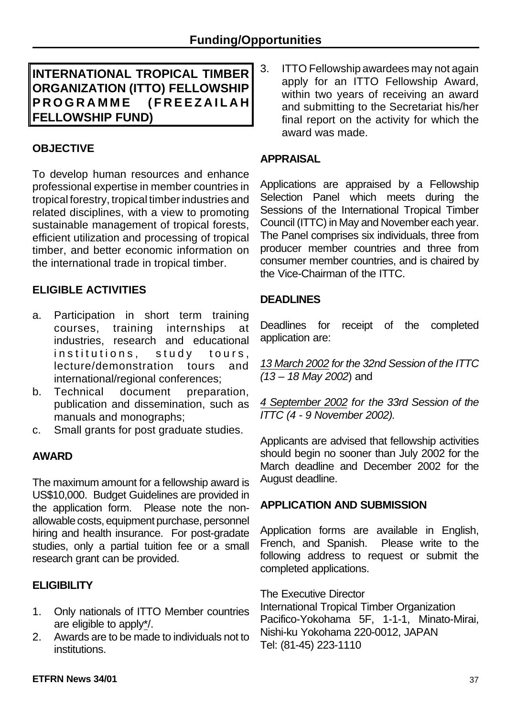**INTERNATIONAL TROPICAL TIMBER ORGANIZATION (ITTO) FELLOWSHIP PROGRAMME (FREEZAILA H FELLOWSHIP FUND)**

# **OBJECTIVE**

To develop human resources and enhance professional expertise in member countries in tropical forestry, tropical timberindustries and related disciplines, with a view to promoting sustainable management of tropical forests, efficient utilization and processing of tropical timber, and better economic information on the international trade in tropical timber.

# **ELIGIBLE ACTIVITIES**

- a. Participation in short term training courses, training internships at industries, research and educational institutions, study tours, lecture/demonstration tours and international/regional conferences:
- b. Technical document preparation, publication and dissemination, such as manuals and monographs;
- c. Small grants for post graduate studies.

#### **AWARD**

The maximum amount for a fellowship award is US\$10,000. Budget Guidelines are provided in the application form. Please note the nonallowable costs, equipment purchase, personnel hiring and health insurance. For post-gradate studies, only a partial tuition fee or a small research grant can be provided.

#### **ELIGIBILITY**

- 1. Only nationals of ITTO Member countries are eligible to apply\*/.
- 2. Awards are to be made to individuals not to institutions.

3. ITTO Fellowship awardees may not again apply for an ITTO Fellowship Award, within two years of receiving an award and submitting to the Secretariat his/her final report on the activity for which the award was made.

#### **APPRAISAL**

Applications are appraised by a Fellowship Selection Panel which meets during the Sessions of the International Tropical Timber Council (ITTC) in May and November each year. The Panel comprises six individuals, three from producer member countries and three from consumer member countries, and is chaired by the Vice-Chairman of the ITTC.

#### **DEADLINES**

Deadlines for receipt of the completed application are:

*13 March 2002 for the 32nd Session of the ITTC (13 – 18 May 2002*) and

*4 September 2002 for the 33rd Session of the ITTC (4 - 9 November 2002).*

Applicants are advised that fellowship activities should begin no sooner than July 2002 for the March deadline and December 2002 for the August deadline.

#### **APPLICATION AND SUBMISSION**

Application forms are available in English, French, and Spanish. Please write to the following address to request or submit the completed applications.

The Executive Director International Tropical Timber Organization Pacifico-Yokohama 5F, 1-1-1, Minato-Mirai, Nishi-ku Yokohama 220-0012, JAPAN Tel: (81-45) 223-1110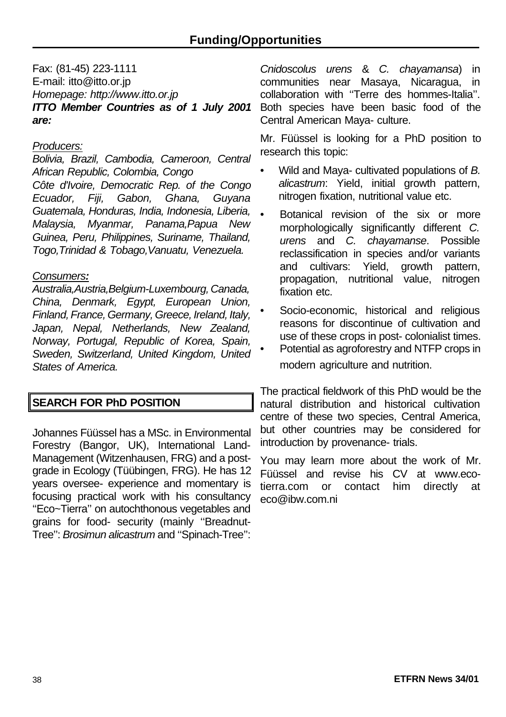Fax: (81-45) 223-1111 E-mail: itto@itto.or.jp *Homepage: http://www.itto.or.jp ITTO Member Countries as of 1 July 2001 are:*

#### *Producers:*

*Bolivia, Brazil, Cambodia, Cameroon, Central African Republic, Colombia, Congo Côte d'Ivoire, Democratic Rep. of the Congo Ecuador, Fiji, Gabon, Ghana, Guyana Guatemala, Honduras, India, Indonesia, Liberia, Malaysia, Myanmar, Panama,Papua New Guinea, Peru, Philippines, Suriname, Thailand, Togo,Trinidad & Tobago,Vanuatu, Venezuela.*

#### *Consumers:*

*Australia,Austria,Belgium-Luxembourg, Canada, China, Denmark, Egypt, European Union, Finland, France, Germany, Greece, Ireland, Italy, Japan, Nepal, Netherlands, New Zealand, Norway, Portugal, Republic of Korea, Spain, Sweden, Switzerland, United Kingdom, United States of America.*

# **SEARCH FOR PhD POSITION**

Johannes Füüssel has a MSc. in Environmental Forestry (Bangor, UK), International Land-Management (Witzenhausen, FRG) and a postgrade in Ecology (Tüübingen, FRG). He has 12 years oversee- experience and momentary is focusing practical work with his consultancy ''Eco~Tierra'' on autochthonous vegetables and grains for food- security (mainly ''Breadnut-Tree'': *Brosimun alicastrum* and ''Spinach-Tree'':

*Cnidoscolus urens* & *C. chayamansa*) in communities near Masaya, Nicaragua, in collaboration with ''Terre des hommes-Italia''. Both species have been basic food of the Central American Maya- culture.

Mr. Füüssel is looking for a PhD position to research this topic:

- Wild and Maya- cultivated populations of *B. alicastrum*: Yield, initial growth pattern, nitrogen fixation, nutritional value etc.
- Botanical revision of the six or more morphologically significantly different *C. urens* and *C. chayamanse*. Possible reclassification in species and/or variants and cultivars: Yield, growth pattern, propagation, nutritional value, nitrogen fixation etc.
- Socio-economic, historical and religious reasons for discontinue of cultivation and use of these crops in post- colonialist times.
- Potential as agroforestry and NTFP crops in modern agriculture and nutrition.

The practical fieldwork of this PhD would be the natural distribution and historical cultivation centre of these two species, Central America, but other countries may be considered for introduction by provenance- trials.

You may learn more about the work of Mr. Füüssel and revise his CV at www.ecotierra.com or contact him directly at eco@ibw.com.ni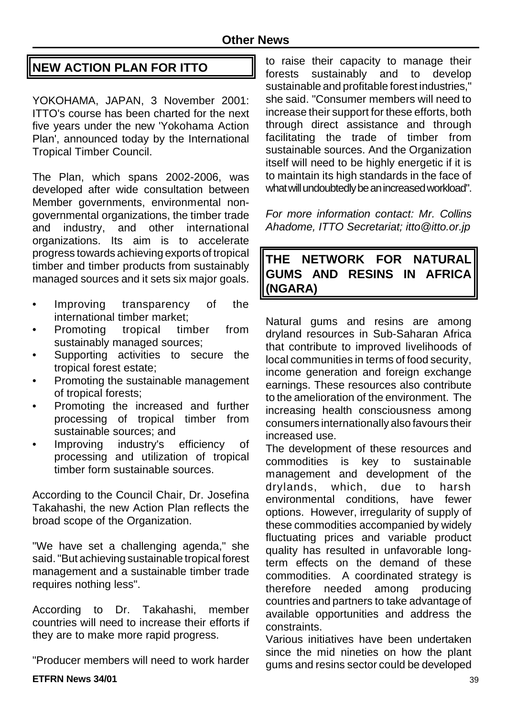# **NEW ACTION PLAN FOR ITTO**

YOKOHAMA, JAPAN, 3 November 2001: ITTO's course has been charted for the next five years under the new 'Yokohama Action Plan', announced today by the International Tropical Timber Council.

The Plan, which spans 2002-2006, was developed after wide consultation between Member governments, environmental nongovernmental organizations, the timber trade and industry, and other international organizations. Its aim is to accelerate progress towards achieving exports of tropical timber and timber products from sustainably managed sources and it sets six major goals.

- Improving transparency of the international timber market;
- Promoting tropical timber from sustainably managed sources;
- Supporting activities to secure the tropical forest estate;
- Promoting the sustainable management of tropical forests;
- Promoting the increased and further processing of tropical timber from sustainable sources; and
- Improving industry's efficiency of processing and utilization of tropical timber form sustainable sources.

According to the Council Chair, Dr. Josefina Takahashi, the new Action Plan reflects the broad scope of the Organization.

"We have set a challenging agenda," she said."But achieving sustainable tropical forest management and a sustainable timber trade requires nothing less".

According to Dr. Takahashi, member countries will need to increase their efforts if they are to make more rapid progress.

"Producer members will need to work harder

to raise their capacity to manage their forests sustainably and to develop sustainable and profitable forest industries," she said. "Consumer members will need to increase their support for these efforts, both through direct assistance and through facilitating the trade of timber from sustainable sources. And the Organization itself will need to be highly energetic if it is to maintain its high standards in the face of what will undoubtedly be an increased workload".

*For more information contact: Mr. Collins Ahadome, ITTO Secretariat; itto@itto.or.jp*

# **THE NETWORK FOR NATURAL GUMS AND RESINS IN AFRICA (NGARA)**

Natural gums and resins are among dryland resources in Sub-Saharan Africa that contribute to improved livelihoods of local communities in terms of food security, income generation and foreign exchange earnings. These resources also contribute to the amelioration of the environment. The increasing health consciousness among consumers internationally also favours their increased use.

The development of these resources and commodities is key to sustainable management and development of the drylands, which, due to harsh environmental conditions, have fewer options. However, irregularity of supply of these commodities accompanied by widely fluctuating prices and variable product quality has resulted in unfavorable longterm effects on the demand of these commodities. A coordinated strategy is therefore needed among producing countries and partners to take advantage of available opportunities and address the constraints.

Various initiatives have been undertaken since the mid nineties on how the plant gums and resins sector could be developed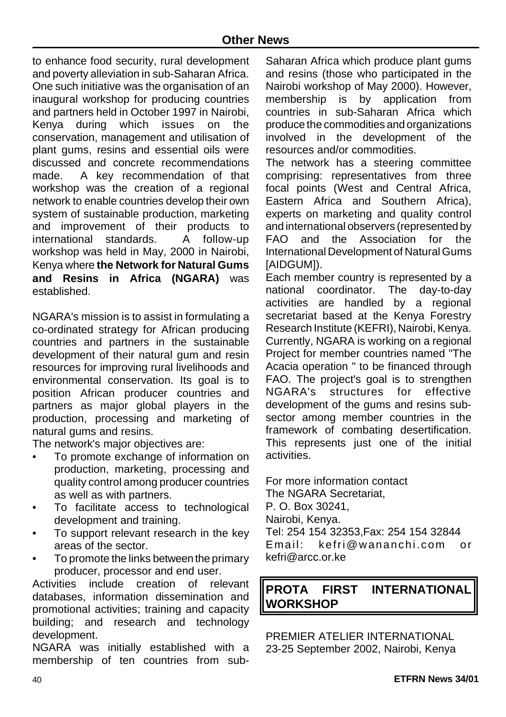to enhance food security, rural development and poverty alleviation in sub-Saharan Africa. One such initiative was the organisation of an inaugural workshop for producing countries and partners held in October 1997 in Nairobi, Kenya during which issues on the conservation, management and utilisation of plant gums, resins and essential oils were discussed and concrete recommendations made. A key recommendation of that workshop was the creation of a regional network to enable countries develop their own system of sustainable production, marketing and improvement of their products to international standards. A follow-up workshop was held in May, 2000 in Nairobi, Kenya where **the Network for Natural Gums and Resins in Africa (NGARA)** was established.

NGARA's mission is to assist in formulating a co-ordinated strategy for African producing countries and partners in the sustainable development of their natural gum and resin resources for improving rural livelihoods and environmental conservation. Its goal is to position African producer countries and partners as major global players in the production, processing and marketing of natural gums and resins.

The network's major objectives are:

- To promote exchange of information on production, marketing, processing and quality control among producer countries as well as with partners.
- To facilitate access to technological development and training.
- To support relevant research in the key areas of the sector.
- To promote the links between the primary producer, processor and end user.

Activities include creation of relevant databases, information dissemination and promotional activities; training and capacity building; and research and technology development.

NGARA was initially established with a membership of ten countries from sub-

Saharan Africa which produce plant gums and resins (those who participated in the Nairobi workshop of May 2000). However, membership is by application from countries in sub-Saharan Africa which produce the commodities and organizations involved in the development of the resources and/or commodities.

The network has a steering committee comprising: representatives from three focal points (West and Central Africa, Eastern Africa and Southern Africa), experts on marketing and quality control and international observers (represented by FAO and the Association for the International Development of Natural Gums [AIDGUM]).

Each member country is represented by a national coordinator. The day-to-day activities are handled by a regional secretariat based at the Kenya Forestry Research Institute (KEFRI), Nairobi, Kenya. Currently, NGARA is working on a regional Project for member countries named "The Acacia operation " to be financed through FAO. The project's goal is to strengthen NGARA's structures for effective development of the gums and resins subsector among member countries in the framework of combating desertification. This represents just one of the initial activities.

For more information contact The NGARA Secretariat, P. O. Box 30241, Nairobi, Kenya. Tel: 254 154 32353,Fax: 254 154 32844 Email: kefri@wananchi.com or kefri@arcc.or.ke

# **PROTA FIRST INTERNATIONAL WORKSHOP**

PREMIER ATELIER INTERNATIONAL 23-25 September 2002, Nairobi, Kenya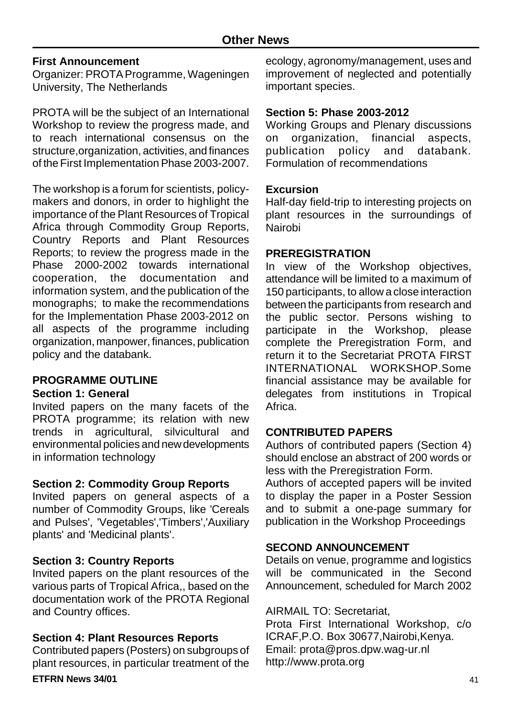#### **First Announcement**

Organizer: PROTAProgramme, Wageningen University, The Netherlands

PROTA will be the subject of an International Workshop to review the progress made, and to reach international consensus on the structure,organization, activities, and finances of the First Implementation Phase 2003-2007.

The workshop is a forum for scientists, policymakers and donors, in order to highlight the importance of the Plant Resources of Tropical Africa through Commodity Group Reports, Country Reports and Plant Resources Reports; to review the progress made in the Phase 2000-2002 towards international cooperation, the documentation and information system, and the publication of the monographs; to make the recommendations for the Implementation Phase 2003-2012 on all aspects of the programme including organization, manpower, finances, publication policy and the databank.

#### **PROGRAMME OUTLINE**

#### **Section 1: General**

Invited papers on the many facets of the PROTA programme; its relation with new trends in agricultural, silvicultural and environmental policies and new developments in information technology

#### **Section 2: Commodity Group Reports**

Invited papers on general aspects of a number of Commodity Groups, like 'Cereals and Pulses', 'Vegetables','Timbers','Auxiliary plants' and 'Medicinal plants'.

#### **Section 3: Country Reports**

Invited papers on the plant resources of the various parts of Tropical Africa,, based on the documentation work of the PROTA Regional and Country offices.

# **Section 4: Plant Resources Reports**

Contributed papers (Posters) on subgroups of plant resources, in particular treatment of the ecology, agronomy/management, uses and improvement of neglected and potentially important species.

#### **Section 5: Phase 2003-2012**

Working Groups and Plenary discussions on organization, financial aspects,<br>publication policy and databank. publication policy and databank. Formulation of recommendations

#### **Excursion**

Half-day field-trip to interesting projects on plant resources in the surroundings of Nairobi

#### **PREREGISTRATION**

In view of the Workshop objectives, attendance will be limited to a maximum of 150 participants, to allow a close interaction between the participants from research and the public sector. Persons wishing to participate in the Workshop, please complete the Preregistration Form, and return it to the Secretariat PROTA FIRST INTERNATIONAL WORKSHOP.Some financial assistance may be available for delegates from institutions in Tropical Africa.

#### **CONTRIBUTED PAPERS**

Authors of contributed papers (Section 4) should enclose an abstract of 200 words or less with the Preregistration Form.

Authors of accepted papers will be invited to display the paper in a Poster Session and to submit a one-page summary for publication in the Workshop Proceedings

#### **SECOND ANNOUNCEMENT**

Details on venue, programme and logistics will be communicated in the Second Announcement, scheduled for March 2002

#### AIRMAIL TO: Secretariat,

Prota First International Workshop, c/o ICRAF,P.O. Box 30677,Nairobi,Kenya. Email: prota@pros.dpw.wag-ur.nl http://www.prota.org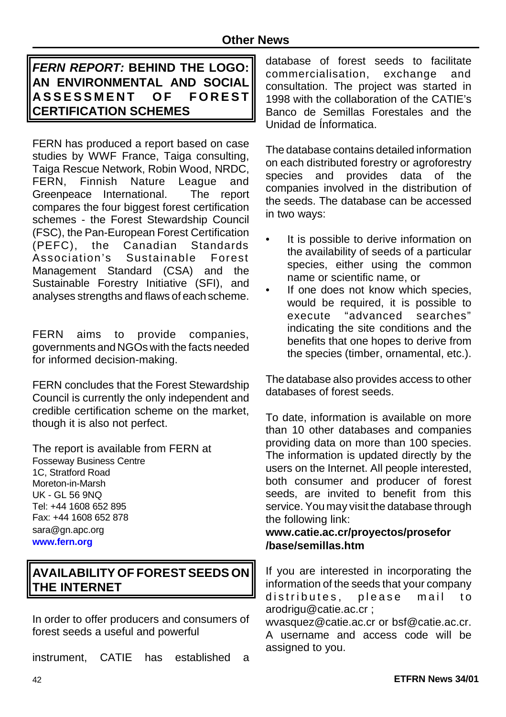# *FERN REPORT:* **BEHIND THE LOGO: AN ENVIRONMENTAL AND SOCIAL ASSESSMENT OF FORES T CERTIFICATION SCHEMES**

FERN has produced a report based on case studies by WWF France, Taiga consulting, Taiga Rescue Network, Robin Wood, NRDC, FERN, Finnish Nature League and Greenpeace International. The report compares the four biggest forest certification schemes - the Forest Stewardship Council (FSC), the Pan-European Forest Certification (PEFC), the Canadian Standards Association's Sustainable Forest Management Standard (CSA) and the Sustainable Forestry Initiative (SFI), and analyses strengths and flaws of each scheme.

FERN aims to provide companies, governments and NGOs with the facts needed for informed decision-making.

FERN concludes that the Forest Stewardship Council is currently the only independent and credible certification scheme on the market, though it is also not perfect.

The report is available from FERN at Fosseway Business Centre 1C, Stratford Road Moreton-in-Marsh UK - GL 56 9NQ Tel: +44 1608 652 895 Fax: +44 1608 652 878 sara@gn.apc.org **www.fern.org**

# **AVAILABILITY OF FOREST SEEDS ON THE INTERNET**

In order to offer producers and consumers of forest seeds a useful and powerful

instrument, CATIE has established a

database of forest seeds to facilitate commercialisation, exchange and consultation. The project was started in 1998 with the collaboration of the CATIE's Banco de Semillas Forestales and the Unidad de Ínformatica.

The database contains detailed information on each distributed forestry or agroforestry species and provides data of the companies involved in the distribution of the seeds. The database can be accessed in two ways:

- It is possible to derive information on the availability of seeds of a particular species, either using the common name or scientific name, or
- If one does not know which species, would be required, it is possible to execute "advanced searches" indicating the site conditions and the benefits that one hopes to derive from the species (timber, ornamental, etc.).

The database also provides access to other databases of forest seeds.

To date, information is available on more than 10 other databases and companies providing data on more than 100 species. The information is updated directly by the users on the Internet. All people interested, both consumer and producer of forest seeds, are invited to benefit from this service. You may visit the database through the following link:

#### **www.catie.ac.cr/proyectos/prosefor /base/semillas.htm**

If you are interested in incorporating the information of the seeds that your company distributes, please mail to arodrigu@catie.ac.cr ;

wvasquez@catie.ac.cr or bsf@catie.ac.cr. A username and access code will be assigned to you.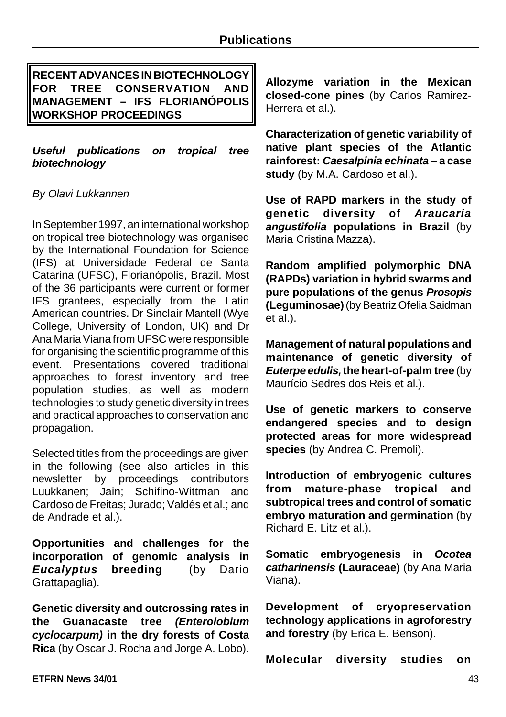**RECENT ADVANCES IN BIOTECHNOLOGY FOR TREE CONSERVATION AND MANAGEMENT – IFS FLORIANÓPOLIS WORKSHOP PROCEEDINGS**

*Useful publications on tropical tree biotechnology*

#### *By Olavi Lukkannen*

In September 1997, an international workshop on tropical tree biotechnology was organised by the International Foundation for Science (IFS) at Universidade Federal de Santa Catarina (UFSC), Florianópolis, Brazil. Most of the 36 participants were current or former IFS grantees, especially from the Latin American countries. Dr Sinclair Mantell (Wye College, University of London, UK) and Dr Ana Maria Viana from UFSC were responsible for organising the scientific programme of this event. Presentations covered traditional approaches to forest inventory and tree population studies, as well as modern technologies to study genetic diversity in trees and practical approaches to conservation and propagation.

Selected titles from the proceedings are given in the following (see also articles in this newsletter by proceedings contributors Luukkanen; Jain; Schifino-Wittman and Cardoso de Freitas; Jurado; Valdés et al.; and de Andrade et al.).

**Opportunities and challenges for the incorporation of genomic analysis in** *Eucalyptus* **breeding** (by Dario Grattapaglia).

**Genetic diversity and outcrossing rates in the Guanacaste tree** *(Enterolobium cyclocarpum)* **in the dry forests of Costa Rica** (by Oscar J. Rocha and Jorge A. Lobo).

**Allozyme variation in the Mexican closed-cone pines** (by Carlos Ramirez-Herrera et al.).

**Characterization of genetic variability of native plant species of the Atlantic rainforest:** *Caesalpinia echinata* **– a case study** (by M.A. Cardoso et al.).

**Use of RAPD markers in the study of genetic diversity of** *Araucaria angustifolia* **populations in Brazil** (by Maria Cristina Mazza).

**Random amplified polymorphic DNA (RAPDs) variation in hybrid swarms and pure populations of the genus** *Prosopis* **(Leguminosae)**(byBeatrizOfelia Saidman et al.).

**Management of natural populations and maintenance of genetic diversity of** *Euterpe edulis,***the heart-of-palm tree** (by Maurício Sedres dos Reis et al.).

**Use of genetic markers to conserve endangered species and to design protected areas for more widespread species** (by Andrea C. Premoli).

**Introduction of embryogenic cultures from mature-phase tropical and subtropical trees and control of somatic embryo maturation and germination** (by Richard E. Litz et al.).

**Somatic embryogenesis in** *Ocotea catharinensis* **(Lauraceae)** (by Ana Maria Viana).

**Development of cryopreservation technology applications in agroforestry and forestry** (by Erica E. Benson).

**Molecular diversity studies on**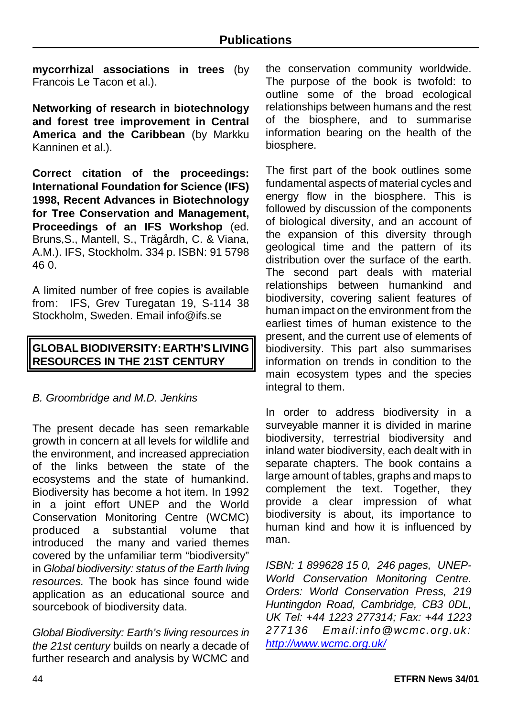**mycorrhizal associations in trees** (by Francois Le Tacon et al.)

**Networking of research in biotechnology and forest tree improvement in Central America and the Caribbean** (by Markku Kanninen et al.).

**Correct citation of the proceedings: International Foundation for Science (IFS) 1998, Recent Advances in Biotechnology for Tree Conservation and Management, Proceedings of an IFS Workshop** (ed. Bruns,S., Mantell, S., Trägårdh, C. & Viana, A.M.). IFS, Stockholm. 334 p. ISBN: 91 5798 46 0.

A limited number of free copies is available from: IFS, Grev Turegatan 19, S-114 38 Stockholm, Sweden. Email info@ifs.se

# **GLOBAL BIODIVERSITY:EARTH'SLIVING RESOURCES IN THE 21ST CENTURY**

#### *B. Groombridge and M.D. Jenkins*

The present decade has seen remarkable growth in concern at all levels for wildlife and the environment, and increased appreciation of the links between the state of the ecosystems and the state of humankind. Biodiversity has become a hot item. In 1992 in a joint effort UNEP and the World Conservation Monitoring Centre (WCMC) produced a substantial volume that introduced the many and varied themes covered by the unfamiliar term "biodiversity" in *Global biodiversity: status of the Earth living resources.* The book has since found wide application as an educational source and sourcebook of biodiversity data.

*Global Biodiversity: Earth's living resources in the 21st century* builds on nearly a decade of further research and analysis by WCMC and the conservation community worldwide. The purpose of the book is twofold: to outline some of the broad ecological relationships between humans and the rest of the biosphere, and to summarise information bearing on the health of the biosphere.

The first part of the book outlines some fundamental aspects of material cycles and energy flow in the biosphere. This is followed by discussion of the components of biological diversity, and an account of the expansion of this diversity through geological time and the pattern of its distribution over the surface of the earth. The second part deals with material relationships between humankind and biodiversity, covering salient features of human impact on the environment from the earliest times of human existence to the present, and the current use of elements of biodiversity. This part also summarises information on trends in condition to the main ecosystem types and the species integral to them.

In order to address biodiversity in a surveyable manner it is divided in marine biodiversity, terrestrial biodiversity and inland water biodiversity, each dealt with in separate chapters. The book contains a large amount of tables, graphs and maps to complement the text. Together, they provide a clear impression of what biodiversity is about, its importance to human kind and how it is influenced by man.

*ISBN: 1 899628 15 0, 246 pages, UNEP-World Conservation Monitoring Centre. Orders: World Conservation Press, 219 Huntingdon Road, Cambridge, CB3 0DL, UK Tel: +44 1223 277314; Fax: +44 1223 277136 Email:info@wcmc.org.uk: http://www.wcmc.org.uk/*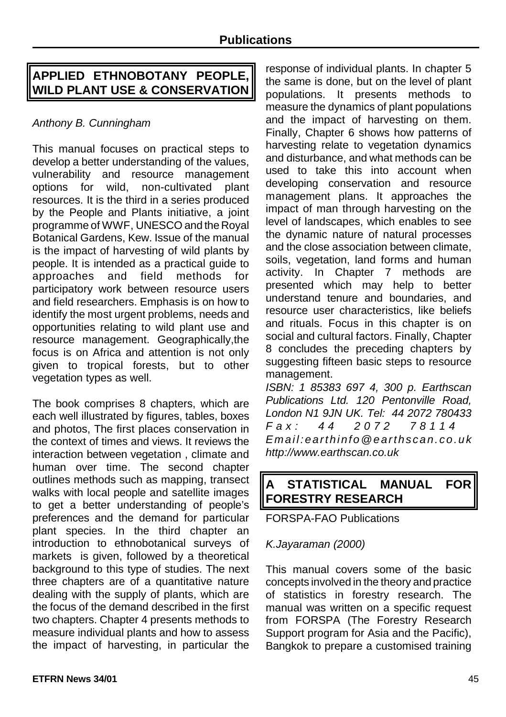# **APPLIED ETHNOBOTANY PEOPLE, WILD PLANT USE & CONSERVATION**

# *Anthony B. Cunningham*

This manual focuses on practical steps to develop a better understanding of the values, vulnerability and resource management options for wild, non-cultivated plant resources. It is the third in a series produced by the People and Plants initiative, a joint programme of WWF, UNESCO and the Royal Botanical Gardens, Kew. Issue of the manual is the impact of harvesting of wild plants by people. It is intended as a practical guide to approaches and field methods for participatory work between resource users and field researchers. Emphasis is on how to identify the most urgent problems, needs and opportunities relating to wild plant use and resource management. Geographically,the focus is on Africa and attention is not only given to tropical forests, but to other vegetation types as well.

The book comprises 8 chapters, which are each well illustrated by figures, tables, boxes and photos, The first places conservation in the context of times and views. It reviews the interaction between vegetation , climate and human over time. The second chapter outlines methods such as mapping, transect walks with local people and satellite images to get a better understanding of people's preferences and the demand for particular plant species. In the third chapter an introduction to ethnobotanical surveys of markets is given, followed by a theoretical background to this type of studies. The next three chapters are of a quantitative nature dealing with the supply of plants, which are the focus of the demand described in the first two chapters. Chapter 4 presents methods to measure individual plants and how to assess the impact of harvesting, in particular the

response of individual plants. In chapter 5 the same is done, but on the level of plant populations. It presents methods to measure the dynamics of plant populations and the impact of harvesting on them. Finally, Chapter 6 shows how patterns of harvesting relate to vegetation dynamics and disturbance, and what methods can be used to take this into account when developing conservation and resource management plans. It approaches the impact of man through harvesting on the level of landscapes, which enables to see the dynamic nature of natural processes and the close association between climate, soils, vegetation, land forms and human activity. In Chapter 7 methods are presented which may help to better understand tenure and boundaries, and resource user characteristics, like beliefs and rituals. Focus in this chapter is on social and cultural factors. Finally, Chapter 8 concludes the preceding chapters by suggesting fifteen basic steps to resource management.

*ISBN: 1 85383 697 4, 300 p. Earthscan Publications Ltd. 120 Pentonville Road, London N1 9JN UK. Tel: 44 2072 780433 Fax: 44 2072 78114 Email:earthinfo@earthscan.co.uk http://www.earthscan.co.uk*

# **A STATISTICAL MANUAL FOR FORESTRY RESEARCH**

FORSPA-FAO Publications

#### *K.Jayaraman (2000)*

This manual covers some of the basic concepts involved in the theory and practice of statistics in forestry research. The manual was written on a specific request from FORSPA (The Forestry Research Support program for Asia and the Pacific), Bangkok to prepare a customised training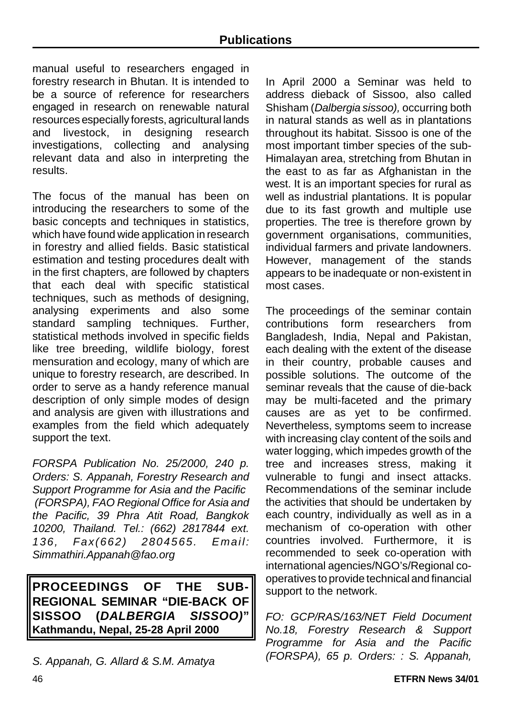manual useful to researchers engaged in forestry research in Bhutan. It is intended to be a source of reference for researchers engaged in research on renewable natural resources especially forests, agricultural lands and livestock, in designing research investigations, collecting and analysing relevant data and also in interpreting the results.

The focus of the manual has been on introducing the researchers to some of the basic concepts and techniques in statistics, which have found wide application in research in forestry and allied fields. Basic statistical estimation and testing procedures dealt with in the first chapters, are followed by chapters that each deal with specific statistical techniques, such as methods of designing, analysing experiments and also some standard sampling techniques. Further, statistical methods involved in specific fields like tree breeding, wildlife biology, forest mensuration and ecology, many of which are unique to forestry research, are described. In order to serve as a handy reference manual description of only simple modes of design and analysis are given with illustrations and examples from the field which adequately support the text.

*FORSPA Publication No. 25/2000, 240 p. Orders: S. Appanah, Forestry Research and Support Programme for Asia and the Pacific (FORSPA), FAO Regional Office for Asia and the Pacific, 39 Phra Atit Road, Bangkok 10200, Thailand. Tel.: (662) 2817844 ext. 136, Fax(662) 2804565. Email: Simmathiri.Appanah@fao.org*

**PROCEEDINGS OF THE SUB-REGIONAL SEMINAR "DIE-BACK OF SISSOO (***DALBERGIA SISSOO)***" Kathmandu, Nepal, 25-28 April 2000**

*S. Appanah, G. Allard & S.M. Amatya*

In April 2000 a Seminar was held to address dieback of Sissoo, also called Shisham (*Dalbergia sissoo),* occurring both in natural stands as well as in plantations throughout its habitat. Sissoo is one of the most important timber species of the sub-Himalayan area, stretching from Bhutan in the east to as far as Afghanistan in the west. It is an important species for rural as well as industrial plantations. It is popular due to its fast growth and multiple use properties. The tree is therefore grown by government organisations, communities, individual farmers and private landowners. However, management of the stands appears to be inadequate or non-existent in most cases.

The proceedings of the seminar contain contributions form researchers from Bangladesh, India, Nepal and Pakistan, each dealing with the extent of the disease in their country, probable causes and possible solutions. The outcome of the seminar reveals that the cause of die-back may be multi-faceted and the primary causes are as yet to be confirmed. Nevertheless, symptoms seem to increase with increasing clay content of the soils and water logging, which impedes growth of the tree and increases stress, making it vulnerable to fungi and insect attacks. Recommendations of the seminar include the activities that should be undertaken by each country, individually as well as in a mechanism of co-operation with other countries involved. Furthermore, it is recommended to seek co-operation with international agencies/NGO's/Regional cooperatives to provide technical and financial support to the network.

*FO: GCP/RAS/163/NET Field Document No.18, Forestry Research & Support Programme for Asia and the Pacific (FORSPA), 65 p. Orders: : S. Appanah,*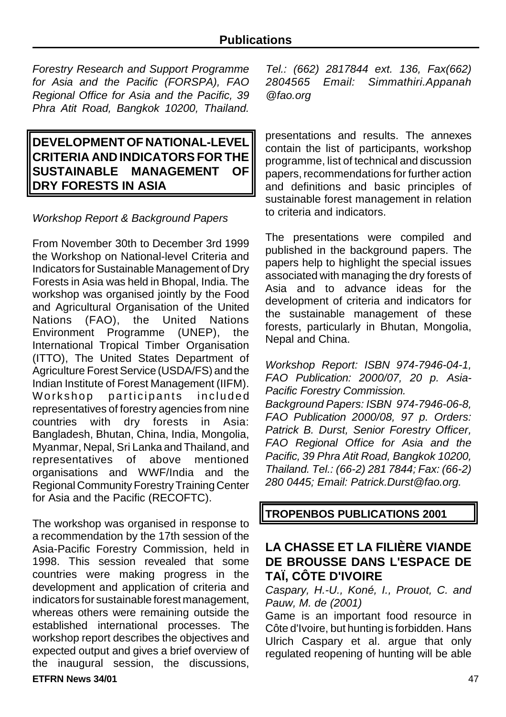*Forestry Research and Support Programme for Asia and the Pacific (FORSPA), FAO Regional Office for Asia and the Pacific, 39 Phra Atit Road, Bangkok 10200, Thailand.*

# **DEVELOPMENT OF NATIONAL-LEVEL CRITERIA AND INDICATORSFOR THE SUSTAINABLE MANAGEMENT OF DRY FORESTS IN ASIA**

#### *Workshop Report & Background Papers*

From November 30th to December 3rd 1999 the Workshop on National-level Criteria and Indicators for Sustainable Management of Dry Forests in Asia was held in Bhopal, India. The workshop was organised jointly by the Food and Agricultural Organisation of the United Nations (FAO), the United Nations Environment Programme (UNEP), the International Tropical Timber Organisation (ITTO), The United States Department of Agriculture Forest Service (USDA/FS) and the Indian Institute of Forest Management (IIFM). Workshop participants included representatives of forestry agencies from nine countries with dry forests in Asia: Bangladesh, Bhutan, China, India, Mongolia, Myanmar, Nepal, Sri Lanka and Thailand, and representatives of above mentioned organisations and WWF/India and the Regional Community Forestry Training Center for Asia and the Pacific (RECOFTC).

The workshop was organised in response to a recommendation by the 17th session of the Asia-Pacific Forestry Commission, held in 1998. This session revealed that some countries were making progress in the development and application of criteria and indicators for sustainable forest management, whereas others were remaining outside the established international processes. The workshop report describes the objectives and expected output and gives a brief overview of the inaugural session, the discussions,

**ETFRN News 34/01** 47

*Tel.: (662) 2817844 ext. 136, Fax(662) 2804565 Email: Simmathiri.Appanah @fao.org*

presentations and results. The annexes contain the list of participants, workshop programme, list of technical and discussion papers, recommendations for further action and definitions and basic principles of sustainable forest management in relation to criteria and indicators.

The presentations were compiled and published in the background papers. The papers help to highlight the special issues associated with managing the dry forests of Asia and to advance ideas for the development of criteria and indicators for the sustainable management of these forests, particularly in Bhutan, Mongolia, Nepal and China.

*Workshop Report: ISBN 974-7946-04-1, FAO Publication: 2000/07, 20 p. Asia-Pacific Forestry Commission.* 

*Background Papers: ISBN 974-7946-06-8, FAO Publication 2000/08, 97 p. Orders: Patrick B. Durst, Senior Forestry Officer, FAO Regional Office for Asia and the Pacific, 39 Phra Atit Road, Bangkok 10200, Thailand. Tel.: (66-2) 281 7844; Fax: (66-2) 280 0445; Email: Patrick.Durst@fao.org.*

**TROPENBOS PUBLICATIONS 2001**

# **LA CHASSE ET LA FILIÈRE VIANDE DE BROUSSE DANS L'ESPACE DE TAÏ, CÔTE D'IVOIRE**

*Caspary, H.-U., Koné, I., Prouot, C. and Pauw, M. de (2001)*

Game is an important food resource in Côte d'Ivoire, but hunting is forbidden. Hans Ulrich Caspary et al. argue that only regulated reopening of hunting will be able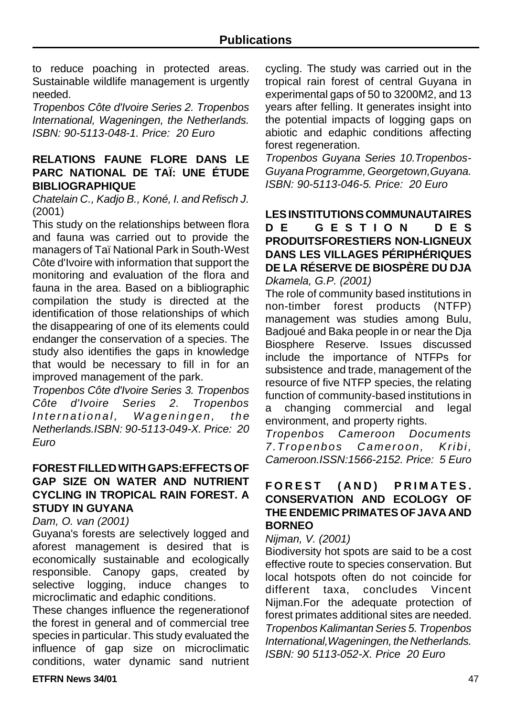to reduce poaching in protected areas. Sustainable wildlife management is urgently needed.

*Tropenbos Côte d'Ivoire Series 2. Tropenbos International, Wageningen, the Netherlands. ISBN: 90-5113-048-1. Price: 20 Euro*

#### **RELATIONS FAUNE FLORE DANS LE PARC NATIONAL DE TAÏ: UNE ÉTUDE BIBLIOGRAPHIQUE**

*Chatelain C., Kadjo B., Koné, I. and Refisch J.* (2001)

This study on the relationships between flora and fauna was carried out to provide the managers of Taï National Park in South-West Côte d'Ivoire with information that support the monitoring and evaluation of the flora and fauna in the area. Based on a bibliographic compilation the study is directed at the identification of those relationships of which the disappearing of one of its elements could endanger the conservation of a species. The study also identifies the gaps in knowledge that would be necessary to fill in for an improved management of the park.

*Tropenbos Côte d'Ivoire Series 3. Tropenbos Côte d'Ivoire Series 2. Tropenbos International, Wageningen, the Netherlands.ISBN: 90-5113-049-X. Price: 20 Euro*

#### **FOREST FILLEDWITHGAPS:EFFECTS OF GAP SIZE ON WATER AND NUTRIENT CYCLING IN TROPICAL RAIN FOREST. A STUDY IN GUYANA**

#### *Dam, O. van (2001)*

Guyana's forests are selectively logged and aforest management is desired that is economically sustainable and ecologically responsible. Canopy gaps, created by selective logging, induce changes to microclimatic and edaphic conditions.

These changes influence the regenerationof the forest in general and of commercial tree species in particular. This study evaluated the influence of gap size on microclimatic conditions, water dynamic sand nutrient cycling. The study was carried out in the tropical rain forest of central Guyana in experimental gaps of 50 to 3200M2, and 13 years after felling. It generates insight into the potential impacts of logging gaps on abiotic and edaphic conditions affecting forest regeneration.

*Tropenbos Guyana Series 10.Tropenbos-GuyanaProgramme, Georgetown,Guyana. ISBN: 90-5113-046-5. Price: 20 Euro*

**LES INSTITUTIONS COMMUNAUTAIRES DE GESTION DE S PRODUITSFORESTIERS NON-LIGNEUX DANS LES VILLAGES PÉRIPHÉRIQUES DE LA RÉSERVE DE BIOSPÈRE DU DJA** *Dkamela, G.P. (2001)*

The role of community based institutions in<br>non-timber forest products (NTFP) products (NTFP) management was studies among Bulu, Badjoué and Baka people in or near the Dja Biosphere Reserve. Issues discussed include the importance of NTFPs for subsistence and trade, management of the resource of five NTFP species, the relating function of community-based institutions in a changing commercial and legal environment, and property rights.

*Tropenbos Cameroon Documents 7.Tropenbos Cameroon, Kribi, Cameroon.ISSN:1566-2152. Price: 5 Euro*

#### **FOREST (AND) PRIMATES . CONSERVATION AND ECOLOGY OF THE ENDEMIC PRIMATES OF JAVA AND BORNEO**

#### *Nijman, V. (2001)*

Biodiversity hot spots are said to be a cost effective route to species conservation. But local hotspots often do not coincide for different taxa, concludes Vincent Nijman.For the adequate protection of forest primates additional sites are needed. *Tropenbos Kalimantan Series 5. Tropenbos International,Wageningen, the Netherlands. ISBN: 90 5113-052-X. Price 20 Euro*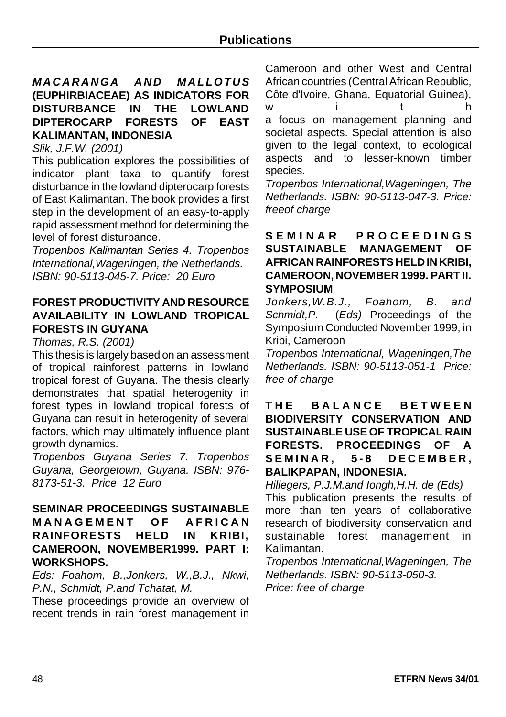#### *MACARANGA AND MALLOTUS* **(EUPHIRBIACEAE) AS INDICATORS FOR DISTURBANCE IN THE LOWLAND DIPTEROCARP FORESTS OF EAST KALIMANTAN, INDONESIA**

*Slik, J.F.W. (2001)*

This publication explores the possibilities of indicator plant taxa to quantify forest disturbance in the lowland dipterocarp forests of East Kalimantan. The book provides a first step in the development of an easy-to-apply rapid assessment method for determining the level of forest disturbance.

*Tropenbos Kalimantan Series 4. Tropenbos International,Wageningen, the Netherlands. ISBN: 90-5113-045-7. Price: 20 Euro*

#### **FOREST PRODUCTIVITY AND RESOURCE AVAILABILITY IN LOWLAND TROPICAL FORESTS IN GUYANA**

*Thomas, R.S. (2001)*

This thesis is largely based on an assessment of tropical rainforest patterns in lowland tropical forest of Guyana. The thesis clearly demonstrates that spatial heterogenity in forest types in lowland tropical forests of Guyana can result in heterogenity of several factors, which may ultimately influence plant growth dynamics.

*Tropenbos Guyana Series 7. Tropenbos Guyana, Georgetown, Guyana. ISBN: 976- 8173-51-3. Price 12 Euro*

#### **SEMINAR PROCEEDINGS SUSTAINABLE MANAGEMENT OF AFRICA N RAINFORESTS HELD IN KRIBI, CAMEROON, NOVEMBER1999. PART I: WORKSHOPS.**

*Eds: Foahom, B.,Jonkers, W.,B.J., Nkwi, P.N., Schmidt, P.and Tchatat, M.*

These proceedings provide an overview of recent trends in rain forest management in Cameroon and other West and Central African countries (Central African Republic, Côte d'Ivoire, Ghana, Equatorial Guinea), wit h a focus on management planning and societal aspects. Special attention is also given to the legal context, to ecological aspects and to lesser-known timber species.

*Tropenbos International,Wageningen, The Netherlands. ISBN: 90-5113-047-3. Price: freeof charge*

#### **SEMINAR PROCEEDING S SUSTAINABLE MANAGEMENT OF AFRICAN RAINFORESTS HELD IN KRIBI, CAMEROON, NOVEMBER 1999. PART II. SYMPOSIUM**

*Jonkers,W.B.J., Foahom, B. and Schmidt,P.* (*Eds)* Proceedings of the Symposium Conducted November 1999, in Kribi, Cameroon

*Tropenbos International, Wageningen,The Netherlands. ISBN: 90-5113-051-1 Price: free of charge*

**THE BALANCE BETWEE N BIODIVERSITY CONSERVATION AND SUSTAINABLE USE OF TROPICAL RAIN FORESTS. PROCEEDINGS OF A SEMINAR, 5-8 DECEMBER , BALIKPAPAN, INDONESIA.**

*Hillegers, P.J.M.and Iongh,H.H. de (Eds)* This publication presents the results of more than ten years of collaborative research of biodiversity conservation and sustainable forest management in Kalimantan.

*Tropenbos International,Wageningen, The Netherlands. ISBN: 90-5113-050-3. Price: free of charge*